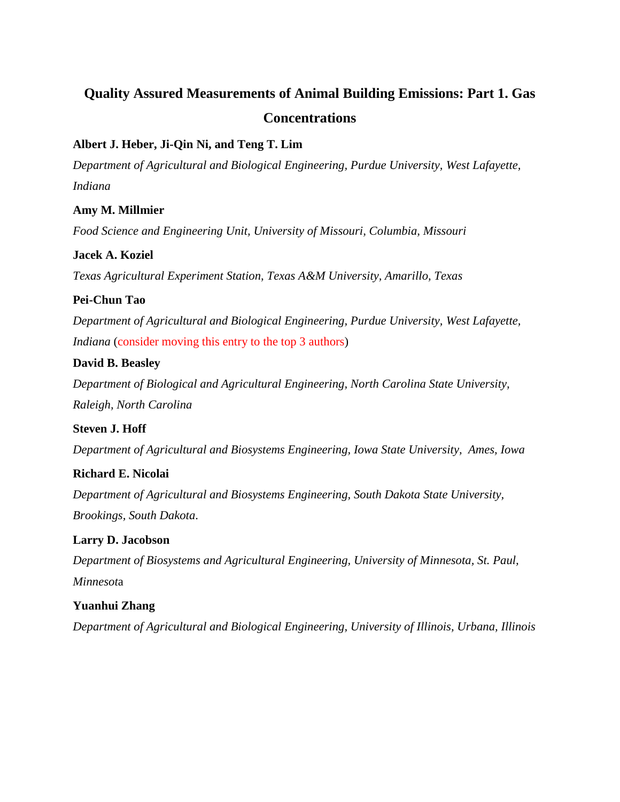# **Quality Assured Measurements of Animal Building Emissions: Part 1. Gas Concentrations**

### **Albert J. Heber, Ji-Qin Ni, and Teng T. Lim**

*Department of Agricultural and Biological Engineering, Purdue University, West Lafayette, Indiana*

### **Amy M. Millmier**

*Food Science and Engineering Unit, University of Missouri, Columbia, Missouri*

### **Jacek A. Koziel**

*Texas Agricultural Experiment Station, Texas A&M University, Amarillo, Texas*

### **Pei-Chun Tao**

*Department of Agricultural and Biological Engineering, Purdue University, West Lafayette, Indiana* (consider moving this entry to the top 3 authors)

### **David B. Beasley**

*Department of Biological and Agricultural Engineering, North Carolina State University, Raleigh, North Carolina*

#### **Steven J. Hoff**

*Department of Agricultural and Biosystems Engineering, Iowa State University, Ames, Iowa*

### **Richard E. Nicolai**

*Department of Agricultural and Biosystems Engineering, South Dakota State University, Brookings, South Dakota*.

#### **Larry D. Jacobson**

*Department of Biosystems and Agricultural Engineering, University of Minnesota, St. Paul, Minnesot*a

#### **Yuanhui Zhang**

*Department of Agricultural and Biological Engineering, University of Illinois, Urbana, Illinois*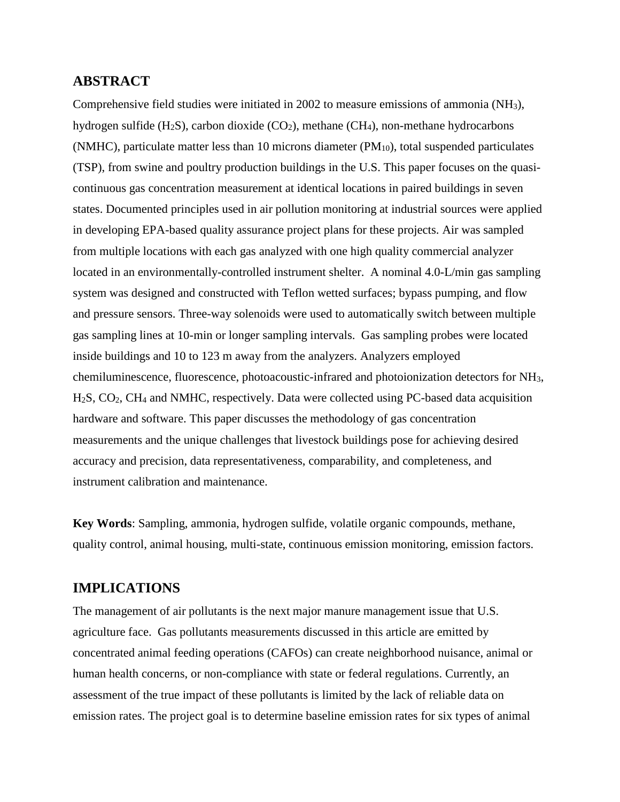### **ABSTRACT**

Comprehensive field studies were initiated in 2002 to measure emissions of ammonia (NH3), hydrogen sulfide  $(H_2S)$ , carbon dioxide  $(CO_2)$ , methane  $(CH_4)$ , non-methane hydrocarbons (NMHC), particulate matter less than 10 microns diameter  $(PM_{10})$ , total suspended particulates (TSP), from swine and poultry production buildings in the U.S. This paper focuses on the quasicontinuous gas concentration measurement at identical locations in paired buildings in seven states. Documented principles used in air pollution monitoring at industrial sources were applied in developing EPA-based quality assurance project plans for these projects. Air was sampled from multiple locations with each gas analyzed with one high quality commercial analyzer located in an environmentally-controlled instrument shelter. A nominal 4.0-L/min gas sampling system was designed and constructed with Teflon wetted surfaces; bypass pumping, and flow and pressure sensors. Three-way solenoids were used to automatically switch between multiple gas sampling lines at 10-min or longer sampling intervals. Gas sampling probes were located inside buildings and 10 to 123 m away from the analyzers. Analyzers employed chemiluminescence, fluorescence, photoacoustic-infrared and photoionization detectors for NH3, H2S, CO2, CH4 and NMHC, respectively. Data were collected using PC-based data acquisition hardware and software. This paper discusses the methodology of gas concentration measurements and the unique challenges that livestock buildings pose for achieving desired accuracy and precision, data representativeness, comparability, and completeness, and instrument calibration and maintenance.

**Key Words**: Sampling, ammonia, hydrogen sulfide, volatile organic compounds, methane, quality control, animal housing, multi-state, continuous emission monitoring, emission factors.

### **IMPLICATIONS**

The management of air pollutants is the next major manure management issue that U.S. agriculture face. Gas pollutants measurements discussed in this article are emitted by concentrated animal feeding operations (CAFOs) can create neighborhood nuisance, animal or human health concerns, or non-compliance with state or federal regulations. Currently, an assessment of the true impact of these pollutants is limited by the lack of reliable data on emission rates. The project goal is to determine baseline emission rates for six types of animal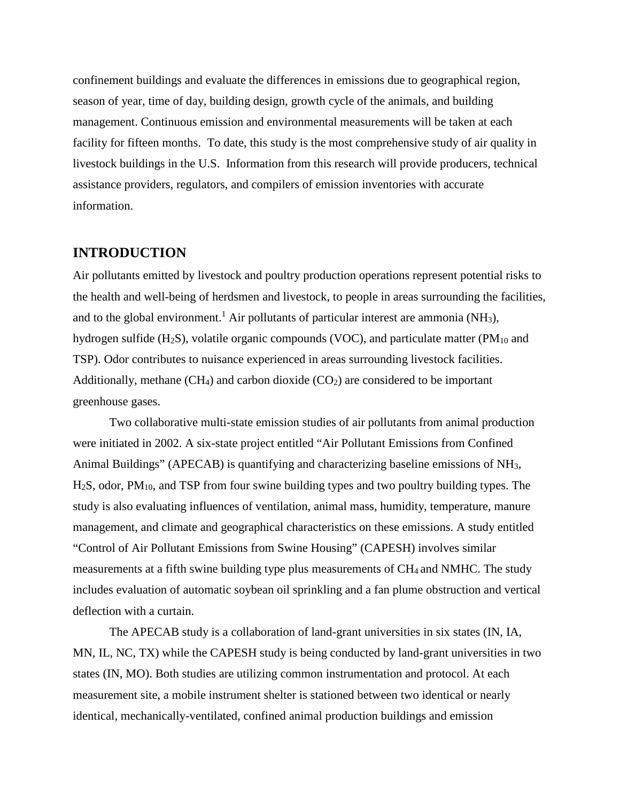confinement buildings and evaluate the differences in emissions due to geographical region, season of year, time of day, building design, growth cycle of the animals, and building management. Continuous emission and environmental measurements will be taken at each facility for fifteen months. To date, this study is the most comprehensive study of air quality in livestock buildings in the U.S. Information from this research will provide producers, technical assistance providers, regulators, and compilers of emission inventories with accurate information.

### **INTRODUCTION**

Air pollutants emitted by livestock and poultry production operations represent potential risks to the health and well-being of herdsmen and livestock, to people in areas surrounding the facilities, and to the global environment.<sup>1</sup> Air pollutants of particular interest are ammonia (NH<sub>3</sub>), hydrogen sulfide (H<sub>2</sub>S), volatile organic compounds (VOC), and particulate matter (PM<sub>10</sub> and TSP). Odor contributes to nuisance experienced in areas surrounding livestock facilities. Additionally, methane  $(CH_4)$  and carbon dioxide  $(CO_2)$  are considered to be important greenhouse gases.

Two collaborative multi-state emission studies of air pollutants from animal production were initiated in 2002. A six-state project entitled "Air Pollutant Emissions from Confined Animal Buildings" (APECAB) is quantifying and characterizing baseline emissions of NH3, H2S, odor, PM10, and TSP from four swine building types and two poultry building types. The study is also evaluating influences of ventilation, animal mass, humidity, temperature, manure management, and climate and geographical characteristics on these emissions. A study entitled "Control of Air Pollutant Emissions from Swine Housing" (CAPESH) involves similar measurements at a fifth swine building type plus measurements of CH4 and NMHC. The study includes evaluation of automatic soybean oil sprinkling and a fan plume obstruction and vertical deflection with a curtain.

The APECAB study is a collaboration of land-grant universities in six states (IN, IA, MN, IL, NC, TX) while the CAPESH study is being conducted by land-grant universities in two states (IN, MO). Both studies are utilizing common instrumentation and protocol. At each measurement site, a mobile instrument shelter is stationed between two identical or nearly identical, mechanically-ventilated, confined animal production buildings and emission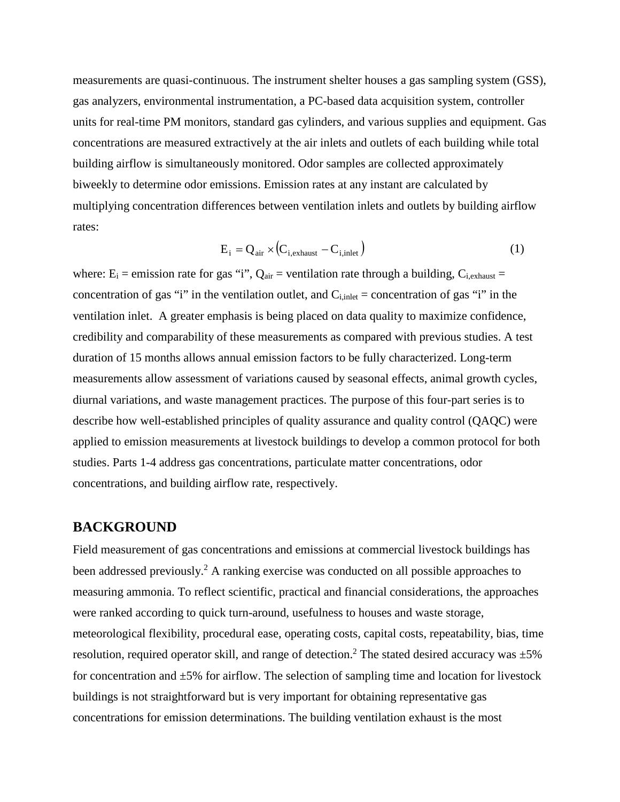measurements are quasi-continuous. The instrument shelter houses a gas sampling system (GSS), gas analyzers, environmental instrumentation, a PC-based data acquisition system, controller units for real-time PM monitors, standard gas cylinders, and various supplies and equipment. Gas concentrations are measured extractively at the air inlets and outlets of each building while total building airflow is simultaneously monitored. Odor samples are collected approximately biweekly to determine odor emissions. Emission rates at any instant are calculated by multiplying concentration differences between ventilation inlets and outlets by building airflow rates:

$$
E_i = Q_{air} \times (C_{i,exhaust} - C_{i,inel})
$$
\n(1)

where:  $E_i$  = emission rate for gas "i",  $Q_{air}$  = ventilation rate through a building,  $C_{i,ext$ aust = concentration of gas "i" in the ventilation outlet, and  $C_{i, \text{inlet}} =$  concentration of gas "i" in the ventilation inlet. A greater emphasis is being placed on data quality to maximize confidence, credibility and comparability of these measurements as compared with previous studies. A test duration of 15 months allows annual emission factors to be fully characterized. Long-term measurements allow assessment of variations caused by seasonal effects, animal growth cycles, diurnal variations, and waste management practices. The purpose of this four-part series is to describe how well-established principles of quality assurance and quality control (QAQC) were applied to emission measurements at livestock buildings to develop a common protocol for both studies. Parts 1-4 address gas concentrations, particulate matter concentrations, odor concentrations, and building airflow rate, respectively.

#### **BACKGROUND**

Field measurement of gas concentrations and emissions at commercial livestock buildings has been addressed previously.<sup>2</sup> A ranking exercise was conducted on all possible approaches to measuring ammonia. To reflect scientific, practical and financial considerations, the approaches were ranked according to quick turn-around, usefulness to houses and waste storage, meteorological flexibility, procedural ease, operating costs, capital costs, repeatability, bias, time resolution, required operator skill, and range of detection.<sup>2</sup> The stated desired accuracy was  $\pm 5\%$ for concentration and  $\pm 5\%$  for airflow. The selection of sampling time and location for livestock buildings is not straightforward but is very important for obtaining representative gas concentrations for emission determinations. The building ventilation exhaust is the most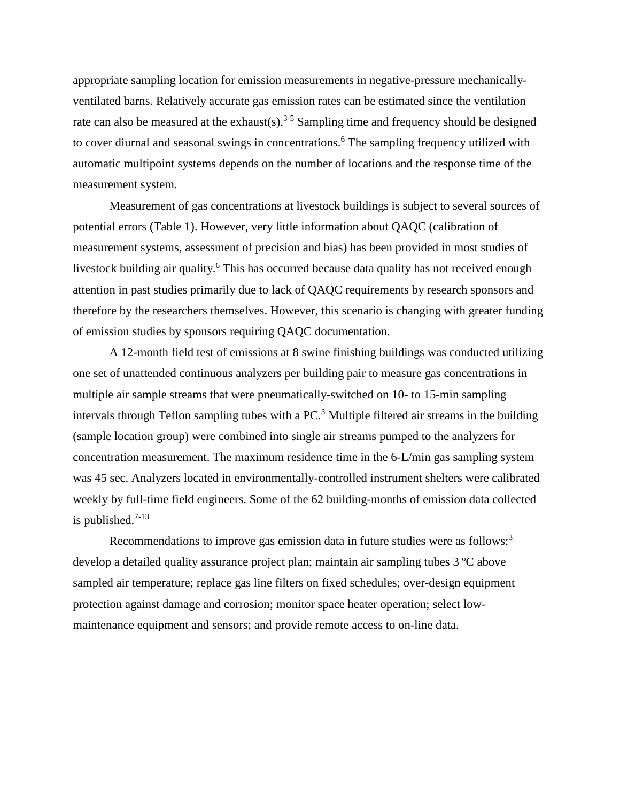appropriate sampling location for emission measurements in negative-pressure mechanicallyventilated barns. Relatively accurate gas emission rates can be estimated since the ventilation rate can also be measured at the exhaust(s).<sup>3-5</sup> Sampling time and frequency should be designed to cover diurnal and seasonal swings in concentrations. <sup>6</sup> The sampling frequency utilized with automatic multipoint systems depends on the number of locations and the response time of the measurement system.

Measurement of gas concentrations at livestock buildings is subject to several sources of potential errors (Table 1). However, very little information about QAQC (calibration of measurement systems, assessment of precision and bias) has been provided in most studies of livestock building air quality. <sup>6</sup> This has occurred because data quality has not received enough attention in past studies primarily due to lack of QAQC requirements by research sponsors and therefore by the researchers themselves. However, this scenario is changing with greater funding of emission studies by sponsors requiring QAQC documentation.

A 12-month field test of emissions at 8 swine finishing buildings was conducted utilizing one set of unattended continuous analyzers per building pair to measure gas concentrations in multiple air sample streams that were pneumatically-switched on 10- to 15-min sampling intervals through Teflon sampling tubes with a  $PC<sup>3</sup>$  Multiple filtered air streams in the building (sample location group) were combined into single air streams pumped to the analyzers for concentration measurement. The maximum residence time in the 6-L/min gas sampling system was 45 sec. Analyzers located in environmentally-controlled instrument shelters were calibrated weekly by full-time field engineers. Some of the 62 building-months of emission data collected is published. 7-13

Recommendations to improve gas emission data in future studies were as follows:<sup>3</sup> develop a detailed quality assurance project plan; maintain air sampling tubes 3 ºC above sampled air temperature; replace gas line filters on fixed schedules; over-design equipment protection against damage and corrosion; monitor space heater operation; select lowmaintenance equipment and sensors; and provide remote access to on-line data.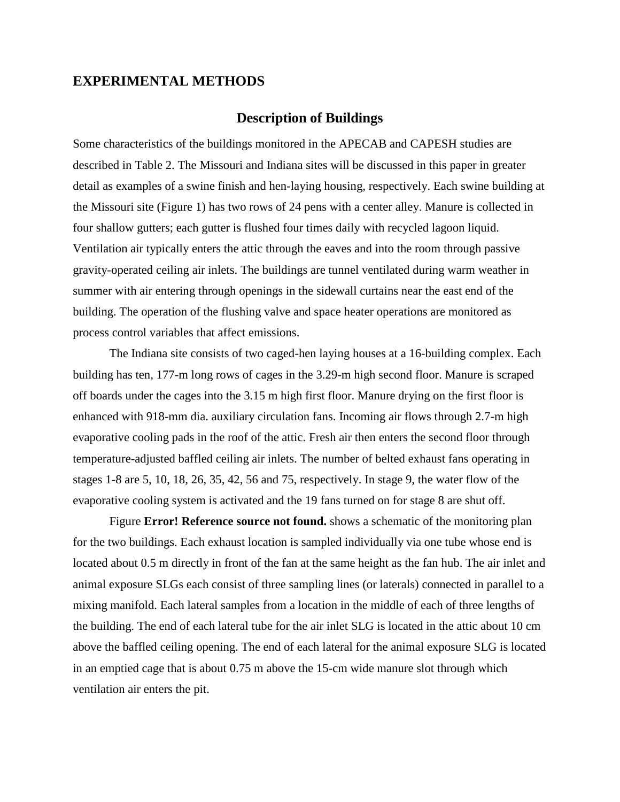#### **EXPERIMENTAL METHODS**

#### **Description of Buildings**

Some characteristics of the buildings monitored in the APECAB and CAPESH studies are described in Table 2. The Missouri and Indiana sites will be discussed in this paper in greater detail as examples of a swine finish and hen-laying housing, respectively. Each swine building at the Missouri site (Figure 1) has two rows of 24 pens with a center alley. Manure is collected in four shallow gutters; each gutter is flushed four times daily with recycled lagoon liquid. Ventilation air typically enters the attic through the eaves and into the room through passive gravity-operated ceiling air inlets. The buildings are tunnel ventilated during warm weather in summer with air entering through openings in the sidewall curtains near the east end of the building. The operation of the flushing valve and space heater operations are monitored as process control variables that affect emissions.

The Indiana site consists of two caged-hen laying houses at a 16-building complex. Each building has ten, 177-m long rows of cages in the 3.29-m high second floor. Manure is scraped off boards under the cages into the 3.15 m high first floor. Manure drying on the first floor is enhanced with 918-mm dia. auxiliary circulation fans. Incoming air flows through 2.7-m high evaporative cooling pads in the roof of the attic. Fresh air then enters the second floor through temperature-adjusted baffled ceiling air inlets. The number of belted exhaust fans operating in stages 1-8 are 5, 10, 18, 26, 35, 42, 56 and 75, respectively. In stage 9, the water flow of the evaporative cooling system is activated and the 19 fans turned on for stage 8 are shut off.

Figure **Error! Reference source not found.** shows a schematic of the monitoring plan for the two buildings. Each exhaust location is sampled individually via one tube whose end is located about 0.5 m directly in front of the fan at the same height as the fan hub. The air inlet and animal exposure SLGs each consist of three sampling lines (or laterals) connected in parallel to a mixing manifold. Each lateral samples from a location in the middle of each of three lengths of the building. The end of each lateral tube for the air inlet SLG is located in the attic about 10 cm above the baffled ceiling opening. The end of each lateral for the animal exposure SLG is located in an emptied cage that is about 0.75 m above the 15-cm wide manure slot through which ventilation air enters the pit.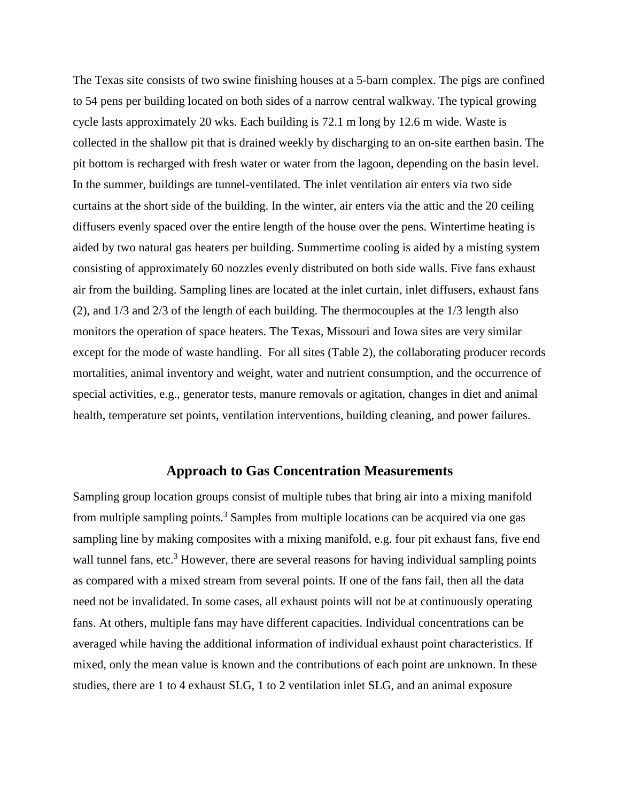The Texas site consists of two swine finishing houses at a 5-barn complex. The pigs are confined to 54 pens per building located on both sides of a narrow central walkway. The typical growing cycle lasts approximately 20 wks. Each building is 72.1 m long by 12.6 m wide. Waste is collected in the shallow pit that is drained weekly by discharging to an on-site earthen basin. The pit bottom is recharged with fresh water or water from the lagoon, depending on the basin level. In the summer, buildings are tunnel-ventilated. The inlet ventilation air enters via two side curtains at the short side of the building. In the winter, air enters via the attic and the 20 ceiling diffusers evenly spaced over the entire length of the house over the pens. Wintertime heating is aided by two natural gas heaters per building. Summertime cooling is aided by a misting system consisting of approximately 60 nozzles evenly distributed on both side walls. Five fans exhaust air from the building. Sampling lines are located at the inlet curtain, inlet diffusers, exhaust fans (2), and 1/3 and 2/3 of the length of each building. The thermocouples at the 1/3 length also monitors the operation of space heaters. The Texas, Missouri and Iowa sites are very similar except for the mode of waste handling. For all sites (Table 2), the collaborating producer records mortalities, animal inventory and weight, water and nutrient consumption, and the occurrence of special activities, e.g., generator tests, manure removals or agitation, changes in diet and animal health, temperature set points, ventilation interventions, building cleaning, and power failures.

#### **Approach to Gas Concentration Measurements**

Sampling group location groups consist of multiple tubes that bring air into a mixing manifold from multiple sampling points.<sup>3</sup> Samples from multiple locations can be acquired via one gas sampling line by making composites with a mixing manifold, e.g. four pit exhaust fans, five end wall tunnel fans, etc.<sup>3</sup> However, there are several reasons for having individual sampling points as compared with a mixed stream from several points. If one of the fans fail, then all the data need not be invalidated. In some cases, all exhaust points will not be at continuously operating fans. At others, multiple fans may have different capacities. Individual concentrations can be averaged while having the additional information of individual exhaust point characteristics. If mixed, only the mean value is known and the contributions of each point are unknown. In these studies, there are 1 to 4 exhaust SLG, 1 to 2 ventilation inlet SLG, and an animal exposure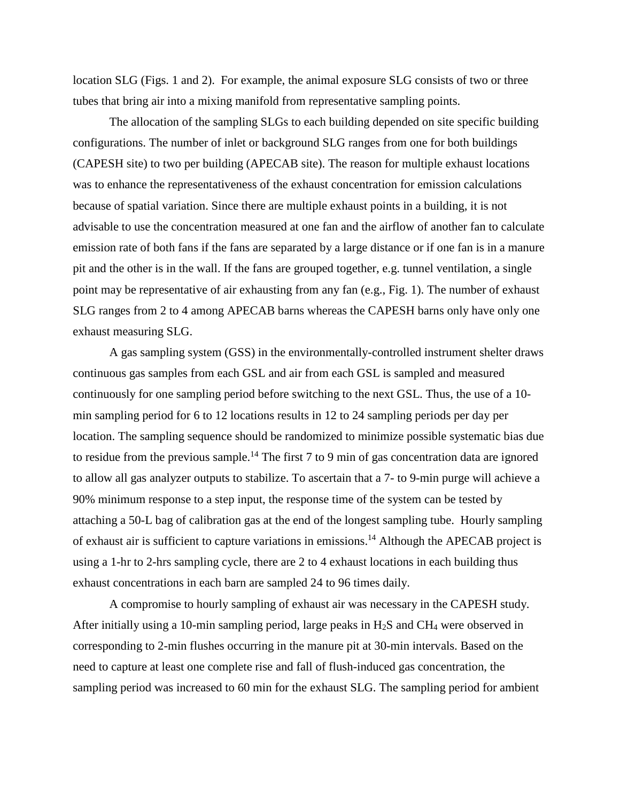location SLG (Figs. 1 and 2). For example, the animal exposure SLG consists of two or three tubes that bring air into a mixing manifold from representative sampling points.

The allocation of the sampling SLGs to each building depended on site specific building configurations. The number of inlet or background SLG ranges from one for both buildings (CAPESH site) to two per building (APECAB site). The reason for multiple exhaust locations was to enhance the representativeness of the exhaust concentration for emission calculations because of spatial variation. Since there are multiple exhaust points in a building, it is not advisable to use the concentration measured at one fan and the airflow of another fan to calculate emission rate of both fans if the fans are separated by a large distance or if one fan is in a manure pit and the other is in the wall. If the fans are grouped together, e.g. tunnel ventilation, a single point may be representative of air exhausting from any fan (e.g., Fig. 1). The number of exhaust SLG ranges from 2 to 4 among APECAB barns whereas the CAPESH barns only have only one exhaust measuring SLG.

A gas sampling system (GSS) in the environmentally-controlled instrument shelter draws continuous gas samples from each GSL and air from each GSL is sampled and measured continuously for one sampling period before switching to the next GSL. Thus, the use of a 10 min sampling period for 6 to 12 locations results in 12 to 24 sampling periods per day per location. The sampling sequence should be randomized to minimize possible systematic bias due to residue from the previous sample.<sup>14</sup> The first  $7$  to  $9$  min of gas concentration data are ignored to allow all gas analyzer outputs to stabilize. To ascertain that a 7- to 9-min purge will achieve a 90% minimum response to a step input, the response time of the system can be tested by attaching a 50-L bag of calibration gas at the end of the longest sampling tube. Hourly sampling of exhaust air is sufficient to capture variations in emissions.14 Although the APECAB project is using a 1-hr to 2-hrs sampling cycle, there are 2 to 4 exhaust locations in each building thus exhaust concentrations in each barn are sampled 24 to 96 times daily.

A compromise to hourly sampling of exhaust air was necessary in the CAPESH study. After initially using a 10-min sampling period, large peaks in  $H_2S$  and CH<sub>4</sub> were observed in corresponding to 2-min flushes occurring in the manure pit at 30-min intervals. Based on the need to capture at least one complete rise and fall of flush-induced gas concentration, the sampling period was increased to 60 min for the exhaust SLG. The sampling period for ambient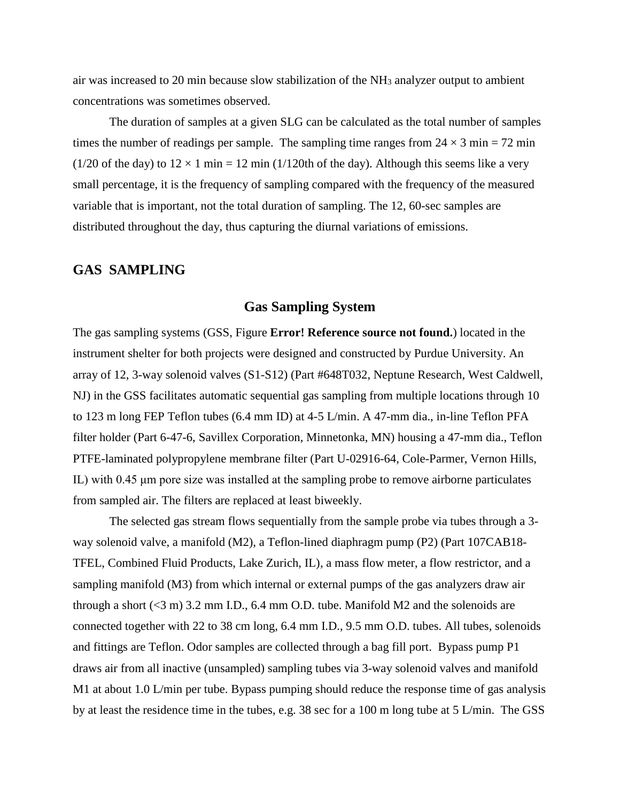air was increased to 20 min because slow stabilization of the NH3 analyzer output to ambient concentrations was sometimes observed.

The duration of samples at a given SLG can be calculated as the total number of samples times the number of readings per sample. The sampling time ranges from  $24 \times 3$  min = 72 min (1/20 of the day) to  $12 \times 1$  min = 12 min (1/120th of the day). Although this seems like a very small percentage, it is the frequency of sampling compared with the frequency of the measured variable that is important, not the total duration of sampling. The 12, 60-sec samples are distributed throughout the day, thus capturing the diurnal variations of emissions.

#### **GAS SAMPLING**

#### **Gas Sampling System**

The gas sampling systems (GSS, Figure **Error! Reference source not found.**) located in the instrument shelter for both projects were designed and constructed by Purdue University. An array of 12, 3-way solenoid valves (S1-S12) (Part #648T032, Neptune Research, West Caldwell, NJ) in the GSS facilitates automatic sequential gas sampling from multiple locations through 10 to 123 m long FEP Teflon tubes (6.4 mm ID) at 4-5 L/min. A 47-mm dia., in-line Teflon PFA filter holder (Part 6-47-6, Savillex Corporation, Minnetonka, MN) housing a 47-mm dia., Teflon PTFE-laminated polypropylene membrane filter (Part U-02916-64, Cole-Parmer, Vernon Hills, IL) with 0.45 μm pore size was installed at the sampling probe to remove airborne particulates from sampled air. The filters are replaced at least biweekly.

The selected gas stream flows sequentially from the sample probe via tubes through a 3 way solenoid valve, a manifold (M2), a Teflon-lined diaphragm pump (P2) (Part 107CAB18- TFEL, Combined Fluid Products, Lake Zurich, IL), a mass flow meter, a flow restrictor, and a sampling manifold (M3) from which internal or external pumps of the gas analyzers draw air through a short  $(<3 m)$  3.2 mm I.D., 6.4 mm O.D. tube. Manifold M2 and the solenoids are connected together with 22 to 38 cm long, 6.4 mm I.D., 9.5 mm O.D. tubes. All tubes, solenoids and fittings are Teflon. Odor samples are collected through a bag fill port. Bypass pump P1 draws air from all inactive (unsampled) sampling tubes via 3-way solenoid valves and manifold M1 at about 1.0 L/min per tube. Bypass pumping should reduce the response time of gas analysis by at least the residence time in the tubes, e.g. 38 sec for a 100 m long tube at 5 L/min. The GSS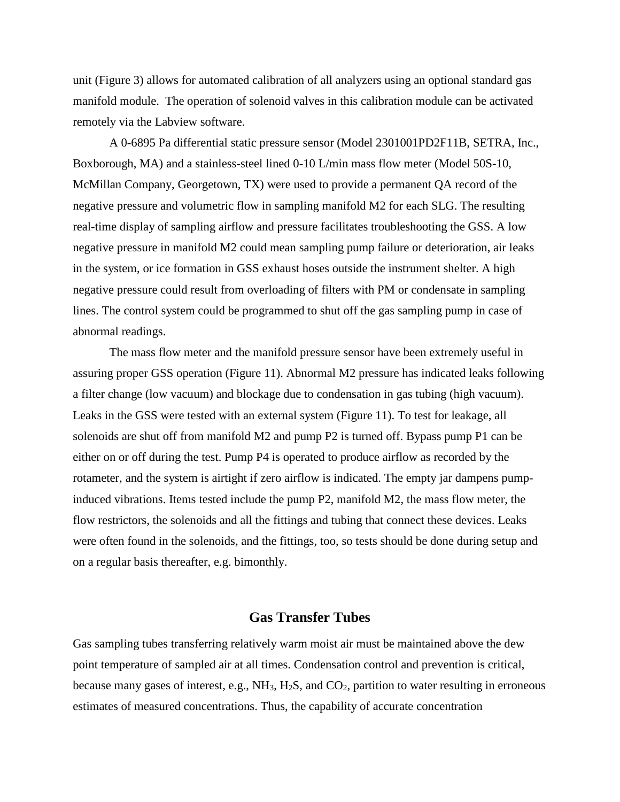unit (Figure 3) allows for automated calibration of all analyzers using an optional standard gas manifold module. The operation of solenoid valves in this calibration module can be activated remotely via the Labview software.

A 0-6895 Pa differential static pressure sensor (Model 2301001PD2F11B, SETRA, Inc., Boxborough, MA) and a stainless-steel lined 0-10 L/min mass flow meter (Model 50S-10, McMillan Company, Georgetown, TX) were used to provide a permanent QA record of the negative pressure and volumetric flow in sampling manifold M2 for each SLG. The resulting real-time display of sampling airflow and pressure facilitates troubleshooting the GSS. A low negative pressure in manifold M2 could mean sampling pump failure or deterioration, air leaks in the system, or ice formation in GSS exhaust hoses outside the instrument shelter. A high negative pressure could result from overloading of filters with PM or condensate in sampling lines. The control system could be programmed to shut off the gas sampling pump in case of abnormal readings.

The mass flow meter and the manifold pressure sensor have been extremely useful in assuring proper GSS operation (Figure 11). Abnormal M2 pressure has indicated leaks following a filter change (low vacuum) and blockage due to condensation in gas tubing (high vacuum). Leaks in the GSS were tested with an external system (Figure 11). To test for leakage, all solenoids are shut off from manifold M2 and pump P2 is turned off. Bypass pump P1 can be either on or off during the test. Pump P4 is operated to produce airflow as recorded by the rotameter, and the system is airtight if zero airflow is indicated. The empty jar dampens pumpinduced vibrations. Items tested include the pump P2, manifold M2, the mass flow meter, the flow restrictors, the solenoids and all the fittings and tubing that connect these devices. Leaks were often found in the solenoids, and the fittings, too, so tests should be done during setup and on a regular basis thereafter, e.g. bimonthly.

### **Gas Transfer Tubes**

Gas sampling tubes transferring relatively warm moist air must be maintained above the dew point temperature of sampled air at all times. Condensation control and prevention is critical, because many gases of interest, e.g., NH<sub>3</sub>, H<sub>2</sub>S, and CO<sub>2</sub>, partition to water resulting in erroneous estimates of measured concentrations. Thus, the capability of accurate concentration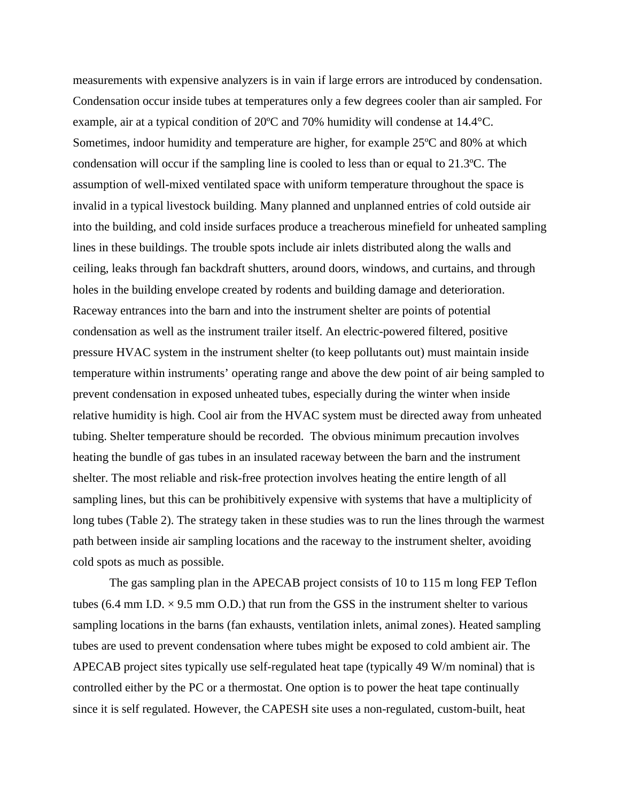measurements with expensive analyzers is in vain if large errors are introduced by condensation. Condensation occur inside tubes at temperatures only a few degrees cooler than air sampled. For example, air at a typical condition of 20ºC and 70% humidity will condense at 14.4°C. Sometimes, indoor humidity and temperature are higher, for example 25ºC and 80% at which condensation will occur if the sampling line is cooled to less than or equal to 21.3ºC. The assumption of well-mixed ventilated space with uniform temperature throughout the space is invalid in a typical livestock building. Many planned and unplanned entries of cold outside air into the building, and cold inside surfaces produce a treacherous minefield for unheated sampling lines in these buildings. The trouble spots include air inlets distributed along the walls and ceiling, leaks through fan backdraft shutters, around doors, windows, and curtains, and through holes in the building envelope created by rodents and building damage and deterioration. Raceway entrances into the barn and into the instrument shelter are points of potential condensation as well as the instrument trailer itself. An electric-powered filtered, positive pressure HVAC system in the instrument shelter (to keep pollutants out) must maintain inside temperature within instruments' operating range and above the dew point of air being sampled to prevent condensation in exposed unheated tubes, especially during the winter when inside relative humidity is high. Cool air from the HVAC system must be directed away from unheated tubing. Shelter temperature should be recorded. The obvious minimum precaution involves heating the bundle of gas tubes in an insulated raceway between the barn and the instrument shelter. The most reliable and risk-free protection involves heating the entire length of all sampling lines, but this can be prohibitively expensive with systems that have a multiplicity of long tubes (Table 2). The strategy taken in these studies was to run the lines through the warmest path between inside air sampling locations and the raceway to the instrument shelter, avoiding cold spots as much as possible.

The gas sampling plan in the APECAB project consists of 10 to 115 m long FEP Teflon tubes (6.4 mm I.D.  $\times$  9.5 mm O.D.) that run from the GSS in the instrument shelter to various sampling locations in the barns (fan exhausts, ventilation inlets, animal zones). Heated sampling tubes are used to prevent condensation where tubes might be exposed to cold ambient air. The APECAB project sites typically use self-regulated heat tape (typically 49 W/m nominal) that is controlled either by the PC or a thermostat. One option is to power the heat tape continually since it is self regulated. However, the CAPESH site uses a non-regulated, custom-built, heat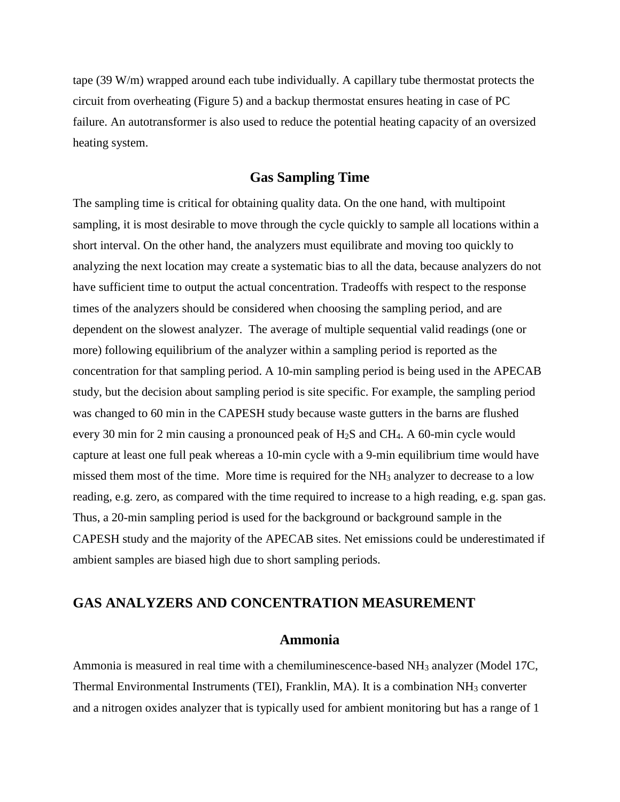tape (39 W/m) wrapped around each tube individually. A capillary tube thermostat protects the circuit from overheating (Figure 5) and a backup thermostat ensures heating in case of PC failure. An autotransformer is also used to reduce the potential heating capacity of an oversized heating system.

#### **Gas Sampling Time**

The sampling time is critical for obtaining quality data. On the one hand, with multipoint sampling, it is most desirable to move through the cycle quickly to sample all locations within a short interval. On the other hand, the analyzers must equilibrate and moving too quickly to analyzing the next location may create a systematic bias to all the data, because analyzers do not have sufficient time to output the actual concentration. Tradeoffs with respect to the response times of the analyzers should be considered when choosing the sampling period, and are dependent on the slowest analyzer. The average of multiple sequential valid readings (one or more) following equilibrium of the analyzer within a sampling period is reported as the concentration for that sampling period. A 10-min sampling period is being used in the APECAB study, but the decision about sampling period is site specific. For example, the sampling period was changed to 60 min in the CAPESH study because waste gutters in the barns are flushed every 30 min for 2 min causing a pronounced peak of H2S and CH4. A 60-min cycle would capture at least one full peak whereas a 10-min cycle with a 9-min equilibrium time would have missed them most of the time. More time is required for the NH3 analyzer to decrease to a low reading, e.g. zero, as compared with the time required to increase to a high reading, e.g. span gas. Thus, a 20-min sampling period is used for the background or background sample in the CAPESH study and the majority of the APECAB sites. Net emissions could be underestimated if ambient samples are biased high due to short sampling periods.

#### **GAS ANALYZERS AND CONCENTRATION MEASUREMENT**

#### **Ammonia**

Ammonia is measured in real time with a chemiluminescence-based NH3 analyzer (Model 17C, Thermal Environmental Instruments (TEI), Franklin, MA). It is a combination NH3 converter and a nitrogen oxides analyzer that is typically used for ambient monitoring but has a range of 1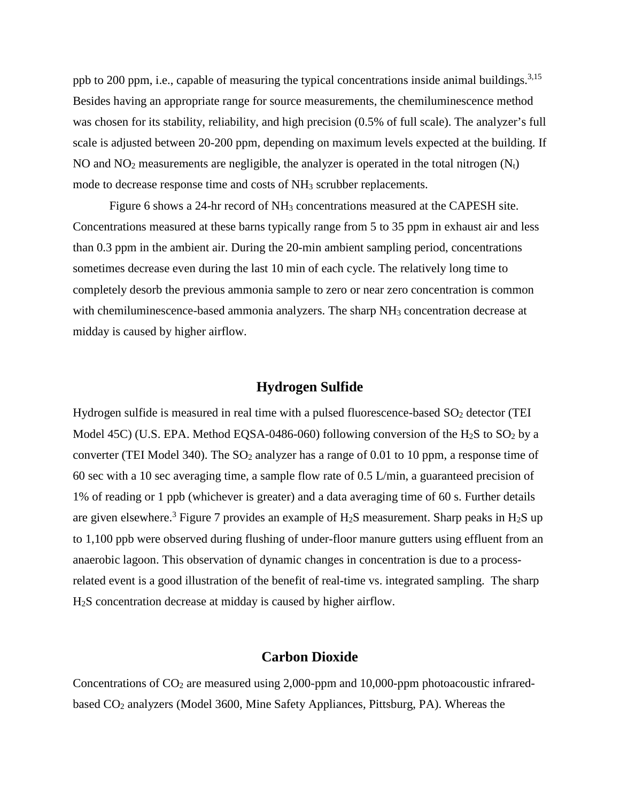ppb to 200 ppm, i.e., capable of measuring the typical concentrations inside animal buildings.<sup>3,15</sup> Besides having an appropriate range for source measurements, the chemiluminescence method was chosen for its stability, reliability, and high precision (0.5% of full scale). The analyzer's full scale is adjusted between 20-200 ppm, depending on maximum levels expected at the building. If NO and  $NO<sub>2</sub>$  measurements are negligible, the analyzer is operated in the total nitrogen  $(N<sub>t</sub>)$ mode to decrease response time and costs of NH<sub>3</sub> scrubber replacements.

Figure 6 shows a 24-hr record of  $NH<sub>3</sub>$  concentrations measured at the CAPESH site. Concentrations measured at these barns typically range from 5 to 35 ppm in exhaust air and less than 0.3 ppm in the ambient air. During the 20-min ambient sampling period, concentrations sometimes decrease even during the last 10 min of each cycle. The relatively long time to completely desorb the previous ammonia sample to zero or near zero concentration is common with chemiluminescence-based ammonia analyzers. The sharp NH<sub>3</sub> concentration decrease at midday is caused by higher airflow.

### **Hydrogen Sulfide**

Hydrogen sulfide is measured in real time with a pulsed fluorescence-based  $SO<sub>2</sub>$  detector (TEI Model 45C) (U.S. EPA. Method EQSA-0486-060) following conversion of the H<sub>2</sub>S to SO<sub>2</sub> by a converter (TEI Model 340). The SO<sub>2</sub> analyzer has a range of 0.01 to 10 ppm, a response time of 60 sec with a 10 sec averaging time, a sample flow rate of 0.5 L/min, a guaranteed precision of 1% of reading or 1 ppb (whichever is greater) and a data averaging time of 60 s. Further details are given elsewhere.<sup>3</sup> Figure 7 provides an example of  $H_2S$  measurement. Sharp peaks in  $H_2S$  up to 1,100 ppb were observed during flushing of under-floor manure gutters using effluent from an anaerobic lagoon. This observation of dynamic changes in concentration is due to a processrelated event is a good illustration of the benefit of real-time vs. integrated sampling. The sharp H2S concentration decrease at midday is caused by higher airflow.

#### **Carbon Dioxide**

Concentrations of  $CO<sub>2</sub>$  are measured using 2,000-ppm and 10,000-ppm photoacoustic infraredbased CO2 analyzers (Model 3600, Mine Safety Appliances, Pittsburg, PA). Whereas the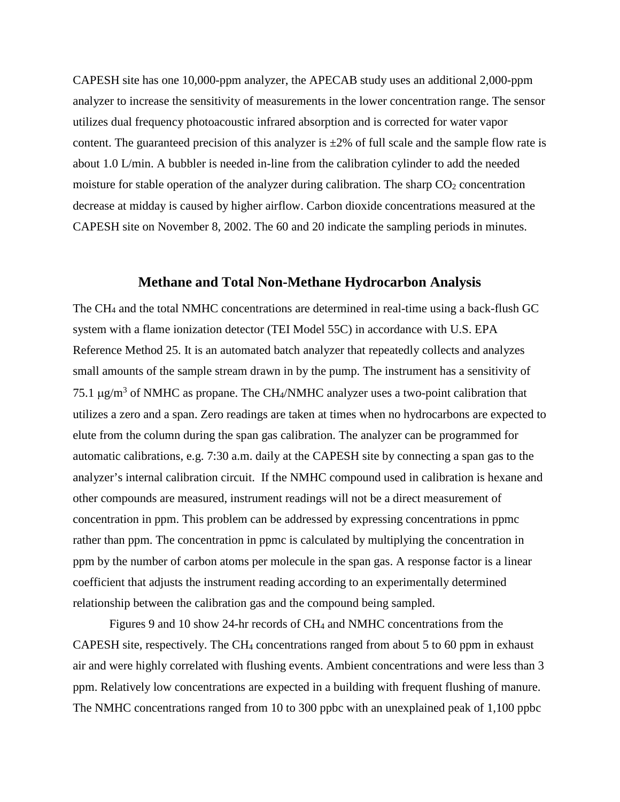CAPESH site has one 10,000-ppm analyzer, the APECAB study uses an additional 2,000-ppm analyzer to increase the sensitivity of measurements in the lower concentration range. The sensor utilizes dual frequency photoacoustic infrared absorption and is corrected for water vapor content. The guaranteed precision of this analyzer is  $\pm 2\%$  of full scale and the sample flow rate is about 1.0 L/min. A bubbler is needed in-line from the calibration cylinder to add the needed moisture for stable operation of the analyzer during calibration. The sharp  $CO<sub>2</sub>$  concentration decrease at midday is caused by higher airflow. Carbon dioxide concentrations measured at the CAPESH site on November 8, 2002. The 60 and 20 indicate the sampling periods in minutes.

#### **Methane and Total Non-Methane Hydrocarbon Analysis**

The CH4 and the total NMHC concentrations are determined in real-time using a back-flush GC system with a flame ionization detector (TEI Model 55C) in accordance with U.S. EPA Reference Method 25. It is an automated batch analyzer that repeatedly collects and analyzes small amounts of the sample stream drawn in by the pump. The instrument has a sensitivity of 75.1  $\mu$ g/m<sup>3</sup> of NMHC as propane. The CH<sub>4</sub>/NMHC analyzer uses a two-point calibration that utilizes a zero and a span. Zero readings are taken at times when no hydrocarbons are expected to elute from the column during the span gas calibration. The analyzer can be programmed for automatic calibrations, e.g. 7:30 a.m. daily at the CAPESH site by connecting a span gas to the analyzer's internal calibration circuit. If the NMHC compound used in calibration is hexane and other compounds are measured, instrument readings will not be a direct measurement of concentration in ppm. This problem can be addressed by expressing concentrations in ppmc rather than ppm. The concentration in ppmc is calculated by multiplying the concentration in ppm by the number of carbon atoms per molecule in the span gas. A response factor is a linear coefficient that adjusts the instrument reading according to an experimentally determined relationship between the calibration gas and the compound being sampled.

Figures 9 and 10 show 24-hr records of CH4 and NMHC concentrations from the CAPESH site, respectively. The CH4 concentrations ranged from about 5 to 60 ppm in exhaust air and were highly correlated with flushing events. Ambient concentrations and were less than 3 ppm. Relatively low concentrations are expected in a building with frequent flushing of manure. The NMHC concentrations ranged from 10 to 300 ppbc with an unexplained peak of 1,100 ppbc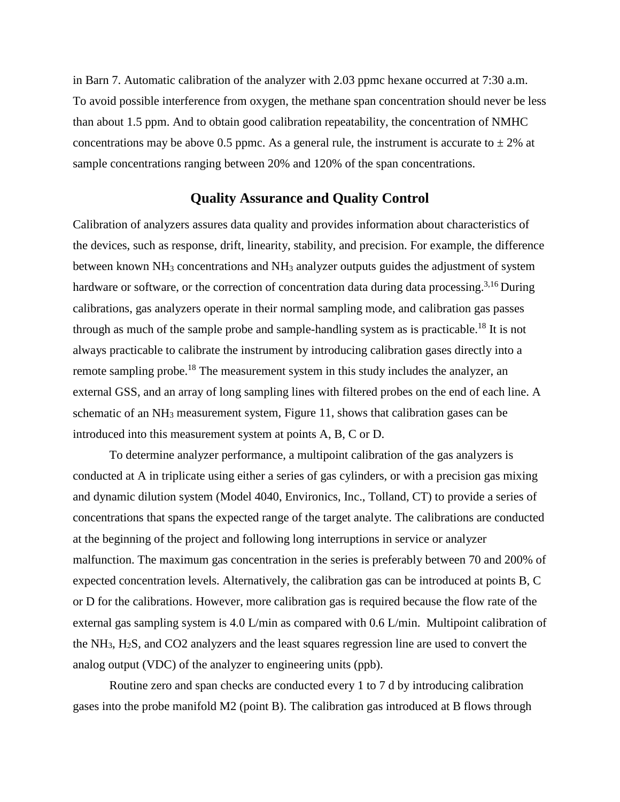in Barn 7. Automatic calibration of the analyzer with 2.03 ppmc hexane occurred at 7:30 a.m. To avoid possible interference from oxygen, the methane span concentration should never be less than about 1.5 ppm. And to obtain good calibration repeatability, the concentration of NMHC concentrations may be above 0.5 ppmc. As a general rule, the instrument is accurate to  $\pm 2\%$  at sample concentrations ranging between 20% and 120% of the span concentrations.

#### **Quality Assurance and Quality Control**

Calibration of analyzers assures data quality and provides information about characteristics of the devices, such as response, drift, linearity, stability, and precision. For example, the difference between known NH<sub>3</sub> concentrations and NH<sub>3</sub> analyzer outputs guides the adjustment of system hardware or software, or the correction of concentration data during data processing.<sup>3,16</sup> During calibrations, gas analyzers operate in their normal sampling mode, and calibration gas passes through as much of the sample probe and sample-handling system as is practicable.<sup>18</sup> It is not always practicable to calibrate the instrument by introducing calibration gases directly into a remote sampling probe.<sup>18</sup> The measurement system in this study includes the analyzer, an external GSS, and an array of long sampling lines with filtered probes on the end of each line. A schematic of an NH3 measurement system, Figure 11, shows that calibration gases can be introduced into this measurement system at points A, B, C or D.

To determine analyzer performance, a multipoint calibration of the gas analyzers is conducted at A in triplicate using either a series of gas cylinders, or with a precision gas mixing and dynamic dilution system (Model 4040, Environics, Inc., Tolland, CT) to provide a series of concentrations that spans the expected range of the target analyte. The calibrations are conducted at the beginning of the project and following long interruptions in service or analyzer malfunction. The maximum gas concentration in the series is preferably between 70 and 200% of expected concentration levels. Alternatively, the calibration gas can be introduced at points B, C or D for the calibrations. However, more calibration gas is required because the flow rate of the external gas sampling system is 4.0 L/min as compared with 0.6 L/min. Multipoint calibration of the NH3, H2S, and CO2 analyzers and the least squares regression line are used to convert the analog output (VDC) of the analyzer to engineering units (ppb).

Routine zero and span checks are conducted every 1 to 7 d by introducing calibration gases into the probe manifold M2 (point B). The calibration gas introduced at B flows through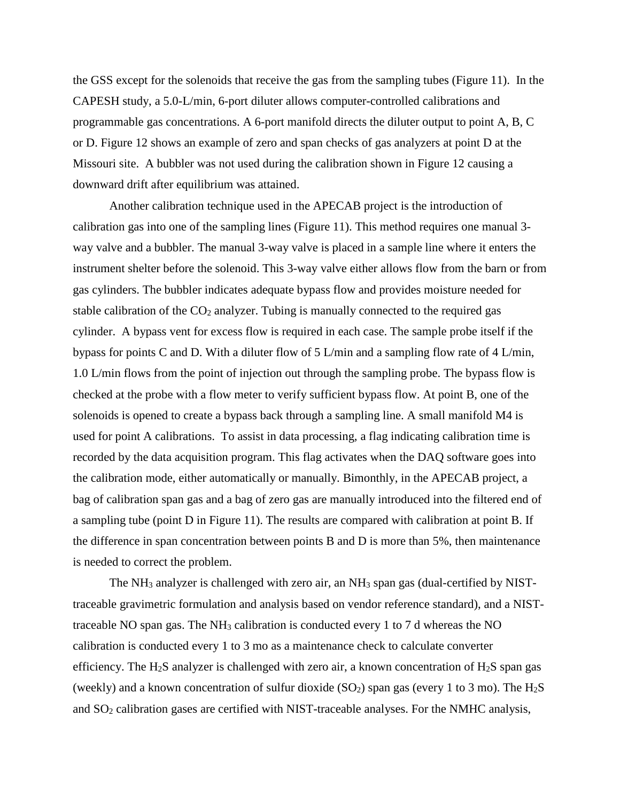the GSS except for the solenoids that receive the gas from the sampling tubes (Figure 11). In the CAPESH study, a 5.0-L/min, 6-port diluter allows computer-controlled calibrations and programmable gas concentrations. A 6-port manifold directs the diluter output to point A, B, C or D. Figure 12 shows an example of zero and span checks of gas analyzers at point D at the Missouri site. A bubbler was not used during the calibration shown in Figure 12 causing a downward drift after equilibrium was attained.

Another calibration technique used in the APECAB project is the introduction of calibration gas into one of the sampling lines (Figure 11). This method requires one manual 3 way valve and a bubbler. The manual 3-way valve is placed in a sample line where it enters the instrument shelter before the solenoid. This 3-way valve either allows flow from the barn or from gas cylinders. The bubbler indicates adequate bypass flow and provides moisture needed for stable calibration of the  $CO<sub>2</sub>$  analyzer. Tubing is manually connected to the required gas cylinder. A bypass vent for excess flow is required in each case. The sample probe itself if the bypass for points C and D. With a diluter flow of 5 L/min and a sampling flow rate of 4 L/min, 1.0 L/min flows from the point of injection out through the sampling probe. The bypass flow is checked at the probe with a flow meter to verify sufficient bypass flow. At point B, one of the solenoids is opened to create a bypass back through a sampling line. A small manifold M4 is used for point A calibrations. To assist in data processing, a flag indicating calibration time is recorded by the data acquisition program. This flag activates when the DAQ software goes into the calibration mode, either automatically or manually. Bimonthly, in the APECAB project, a bag of calibration span gas and a bag of zero gas are manually introduced into the filtered end of a sampling tube (point D in Figure 11). The results are compared with calibration at point B. If the difference in span concentration between points B and D is more than 5%, then maintenance is needed to correct the problem.

The NH3 analyzer is challenged with zero air, an NH3 span gas (dual-certified by NISTtraceable gravimetric formulation and analysis based on vendor reference standard), and a NISTtraceable NO span gas. The  $NH<sub>3</sub>$  calibration is conducted every 1 to 7 d whereas the NO calibration is conducted every 1 to 3 mo as a maintenance check to calculate converter efficiency. The H<sub>2</sub>S analyzer is challenged with zero air, a known concentration of H<sub>2</sub>S span gas (weekly) and a known concentration of sulfur dioxide  $(SO<sub>2</sub>)$  span gas (every 1 to 3 mo). The H<sub>2</sub>S and  $SO<sub>2</sub>$  calibration gases are certified with NIST-traceable analyses. For the NMHC analysis,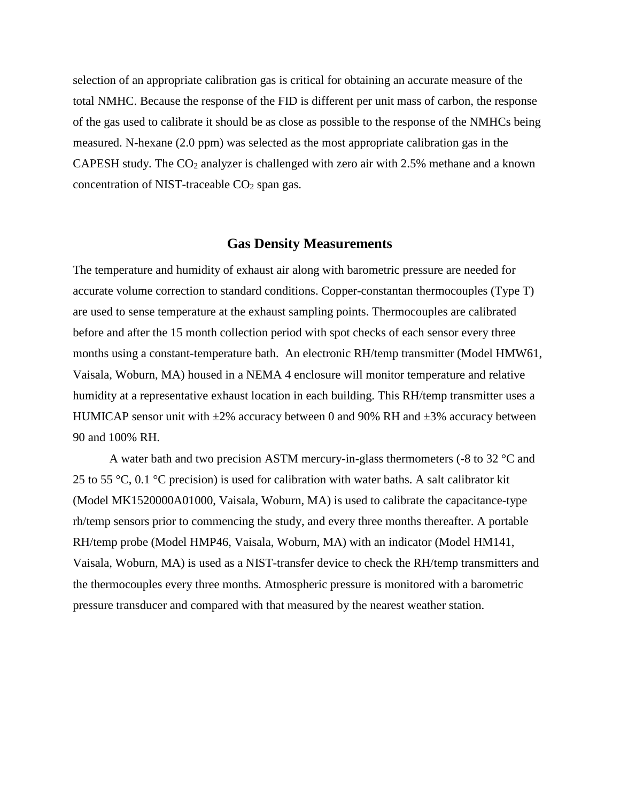selection of an appropriate calibration gas is critical for obtaining an accurate measure of the total NMHC. Because the response of the FID is different per unit mass of carbon, the response of the gas used to calibrate it should be as close as possible to the response of the NMHCs being measured. N-hexane (2.0 ppm) was selected as the most appropriate calibration gas in the CAPESH study. The  $CO<sub>2</sub>$  analyzer is challenged with zero air with 2.5% methane and a known concentration of NIST-traceable  $CO<sub>2</sub>$  span gas.

#### **Gas Density Measurements**

The temperature and humidity of exhaust air along with barometric pressure are needed for accurate volume correction to standard conditions. Copper-constantan thermocouples (Type T) are used to sense temperature at the exhaust sampling points. Thermocouples are calibrated before and after the 15 month collection period with spot checks of each sensor every three months using a constant-temperature bath. An electronic RH/temp transmitter (Model HMW61, Vaisala, Woburn, MA) housed in a NEMA 4 enclosure will monitor temperature and relative humidity at a representative exhaust location in each building. This RH/temp transmitter uses a HUMICAP sensor unit with  $\pm 2\%$  accuracy between 0 and 90% RH and  $\pm 3\%$  accuracy between 90 and 100% RH.

A water bath and two precision ASTM mercury-in-glass thermometers (-8 to 32 °C and 25 to 55 °C, 0.1 °C precision) is used for calibration with water baths. A salt calibrator kit (Model MK1520000A01000, Vaisala, Woburn, MA) is used to calibrate the capacitance-type rh/temp sensors prior to commencing the study, and every three months thereafter. A portable RH/temp probe (Model HMP46, Vaisala, Woburn, MA) with an indicator (Model HM141, Vaisala, Woburn, MA) is used as a NIST-transfer device to check the RH/temp transmitters and the thermocouples every three months. Atmospheric pressure is monitored with a barometric pressure transducer and compared with that measured by the nearest weather station.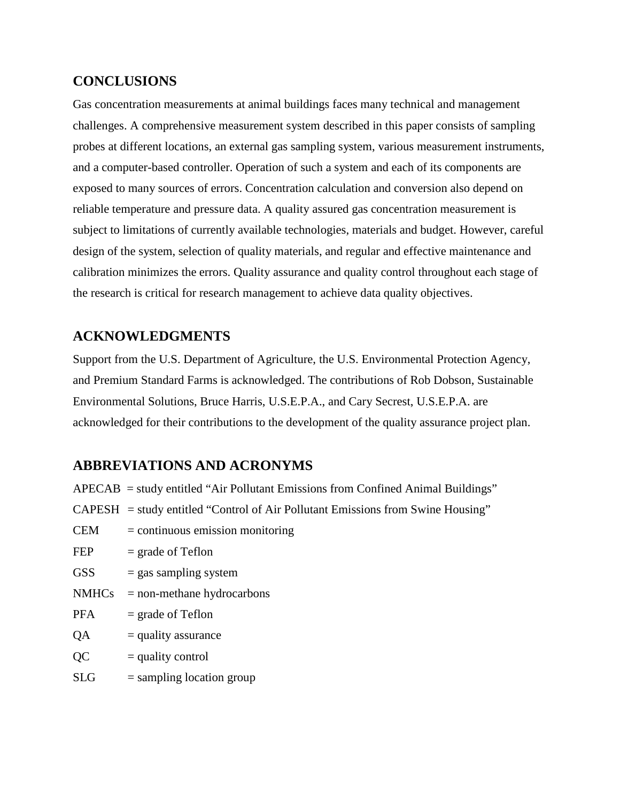### **CONCLUSIONS**

Gas concentration measurements at animal buildings faces many technical and management challenges. A comprehensive measurement system described in this paper consists of sampling probes at different locations, an external gas sampling system, various measurement instruments, and a computer-based controller. Operation of such a system and each of its components are exposed to many sources of errors. Concentration calculation and conversion also depend on reliable temperature and pressure data. A quality assured gas concentration measurement is subject to limitations of currently available technologies, materials and budget. However, careful design of the system, selection of quality materials, and regular and effective maintenance and calibration minimizes the errors. Quality assurance and quality control throughout each stage of the research is critical for research management to achieve data quality objectives.

### **ACKNOWLEDGMENTS**

Support from the U.S. Department of Agriculture, the U.S. Environmental Protection Agency, and Premium Standard Farms is acknowledged. The contributions of Rob Dobson, Sustainable Environmental Solutions, Bruce Harris, U.S.E.P.A., and Cary Secrest, U.S.E.P.A. are acknowledged for their contributions to the development of the quality assurance project plan.

### **ABBREVIATIONS AND ACRONYMS**

|  | $APECAB$ = study entitled "Air Pollutant Emissions from Confined Animal Buildings" |  |  |  |  |  |  |  |
|--|------------------------------------------------------------------------------------|--|--|--|--|--|--|--|
|--|------------------------------------------------------------------------------------|--|--|--|--|--|--|--|

- $CAPESH = study$  entitled "Control of Air Pollutant Emissions from Swine Housing"
- $CEM =$  continuous emission monitoring
- FEP  $=$  grade of Teflon
- $GSS$  = gas sampling system
- $NMHCs = non-methane hydrocarbons$
- $PFA$  = grade of Teflon
- $QA = \text{quality}$  assurance
- $QC = quality control$
- $SLG$  = sampling location group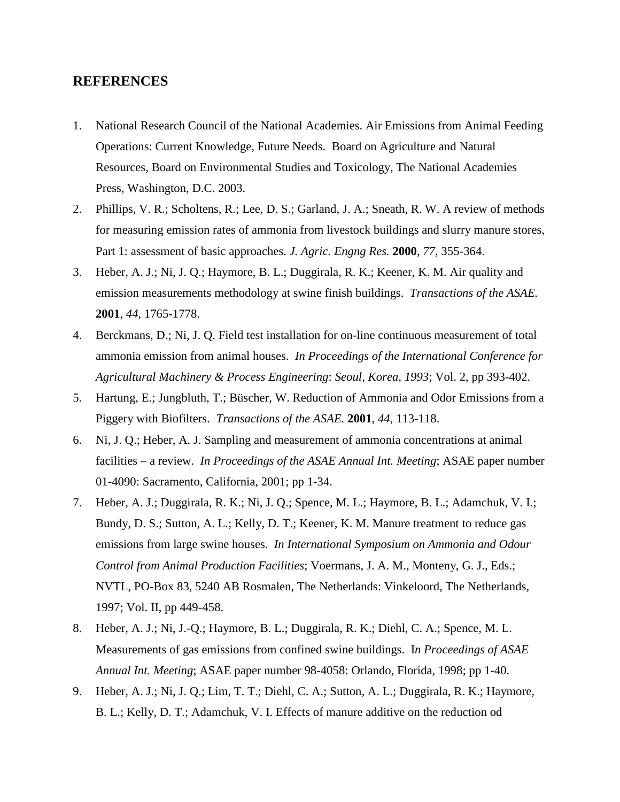#### **REFERENCES**

- 1. National Research Council of the National Academies. Air Emissions from Animal Feeding Operations: Current Knowledge, Future Needs. Board on Agriculture and Natural Resources, Board on Environmental Studies and Toxicology, The National Academies Press, Washington, D.C. 2003.
- 2. Phillips, V. R.; Scholtens, R.; Lee, D. S.; Garland, J. A.; Sneath, R. W. A review of methods for measuring emission rates of ammonia from livestock buildings and slurry manure stores, Part 1: assessment of basic approaches. *J. Agric. Engng Res.* **2000**, *77*, 355-364.
- 3. Heber, A. J.; Ni, J. Q.; Haymore, B. L.; Duggirala, R. K.; Keener, K. M. Air quality and emission measurements methodology at swine finish buildings. *Transactions of the ASAE.* **2001**, *44*, 1765-1778.
- 4. Berckmans, D.; Ni, J. Q. Field test installation for on-line continuous measurement of total ammonia emission from animal houses. *In Proceedings of the International Conference for Agricultural Machinery & Process Engineering*: *Seoul, Korea, 1993*; Vol. 2, pp 393-402.
- 5. Hartung, E.; Jungbluth, T.; Büscher, W. [Reduction of Ammonia and Odor Emissions from a](http://asae.frymulti.com/request2.asp?JID=3&AID=2302&CID=t2001&v=44&i=1&T=1)  [Piggery with Biofilters.](http://asae.frymulti.com/request2.asp?JID=3&AID=2302&CID=t2001&v=44&i=1&T=1) *Transactions of the ASAE.* **2001**, *44*, 113-118.
- 6. Ni, J. Q.; Heber, A. J. Sampling and measurement of ammonia concentrations at animal facilities – a review. *In Proceedings of the ASAE Annual Int. Meeting*; ASAE paper number 01-4090: Sacramento, California, 2001; pp 1-34.
- 7. Heber, A. J.; Duggirala, R. K.; Ni, J. Q.; Spence, M. L.; Haymore, B. L.; Adamchuk, V. I.; Bundy, D. S.; Sutton, A. L.; Kelly, D. T.; Keener, K. M. Manure treatment to reduce gas emissions from large swine houses. *In International Symposium on Ammonia and Odour Control from Animal Production Facilities*; Voermans, J. A. M., Monteny, G. J., Eds.; NVTL, PO-Box 83, 5240 AB Rosmalen, The Netherlands: Vinkeloord, The Netherlands, 1997; Vol. II, pp 449-458.
- 8. Heber, A. J.; Ni, J.-Q.; Haymore, B. L.; Duggirala, R. K.; Diehl, C. A.; Spence, M. L. Measurements of gas emissions from confined swine buildings. I*n Proceedings of ASAE Annual Int. Meeting*; ASAE paper number 98-4058: Orlando, Florida, 1998; pp 1-40.
- 9. Heber, A. J.; Ni, J. Q.; Lim, T. T.; Diehl, C. A.; Sutton, A. L.; Duggirala, R. K.; Haymore, B. L.; Kelly, D. T.; Adamchuk, V. I. Effects of manure additive on the reduction od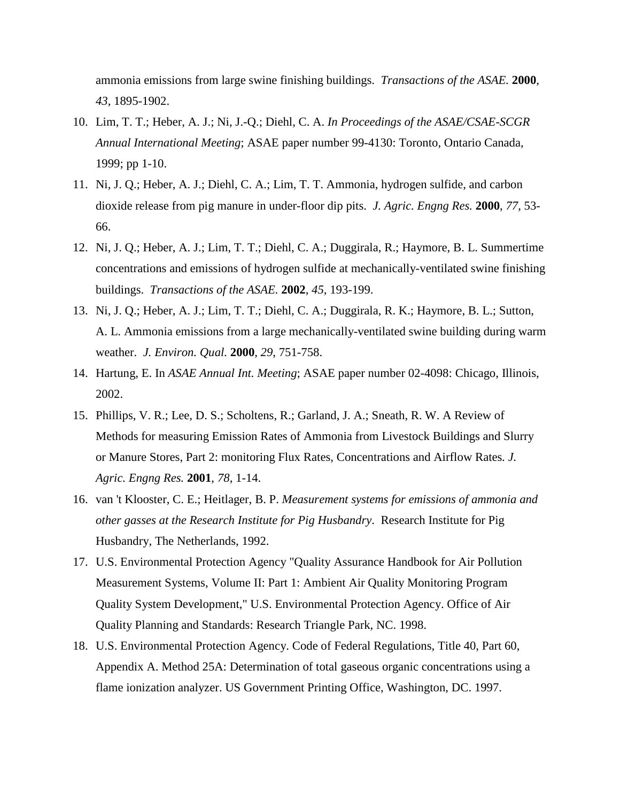ammonia emissions from large swine finishing buildings. *Transactions of the ASAE.* **2000**, *43*, 1895-1902.

- 10. Lim, T. T.; Heber, A. J.; Ni, J.-Q.; Diehl, C. A. *In Proceedings of the ASAE/CSAE-SCGR Annual International Meeting*; ASAE paper number 99-4130: Toronto, Ontario Canada, 1999; pp 1-10.
- 11. Ni, J. Q.; Heber, A. J.; Diehl, C. A.; Lim, T. T. Ammonia, hydrogen sulfide, and carbon dioxide release from pig manure in under-floor dip pits. *J. Agric. Engng Res.* **2000**, *77*, 53- 66.
- 12. Ni, J. Q.; Heber, A. J.; Lim, T. T.; Diehl, C. A.; Duggirala, R.; Haymore, B. L. Summertime concentrations and emissions of hydrogen sulfide at mechanically-ventilated swine finishing buildings. *Transactions of the ASAE.* **2002**, *45*, 193-199.
- 13. Ni, J. Q.; Heber, A. J.; Lim, T. T.; Diehl, C. A.; Duggirala, R. K.; Haymore, B. L.; Sutton, A. L. Ammonia emissions from a large mechanically-ventilated swine building during warm weather. *J. Environ. Qual.* **2000**, *29*, 751-758.
- 14. Hartung, E. In *ASAE Annual Int. Meeting*; ASAE paper number 02-4098: Chicago, Illinois, 2002.
- 15. Phillips, V. R.; Lee, D. S.; Scholtens, R.; Garland, J. A.; Sneath, R. W. A Review of Methods for measuring Emission Rates of Ammonia from Livestock Buildings and Slurry or Manure Stores, Part 2: monitoring Flux Rates, Concentrations and Airflow Rates*. J. Agric. Engng Res.* **2001**, *78*, 1-14.
- 16. van 't Klooster, C. E.; Heitlager, B. P. *Measurement systems for emissions of ammonia and other gasses at the Research Institute for Pig Husbandry*. Research Institute for Pig Husbandry, The Netherlands, 1992.
- 17. U.S. Environmental Protection Agency "Quality Assurance Handbook for Air Pollution Measurement Systems, Volume II: Part 1: Ambient Air Quality Monitoring Program Quality System Development," U.S. Environmental Protection Agency. Office of Air Quality Planning and Standards: Research Triangle Park, NC. 1998.
- 18. U.S. Environmental Protection Agency. Code of Federal Regulations, Title 40, Part 60, Appendix A. Method 25A: Determination of total gaseous organic concentrations using a flame ionization analyzer. US Government Printing Office, Washington, DC. 1997.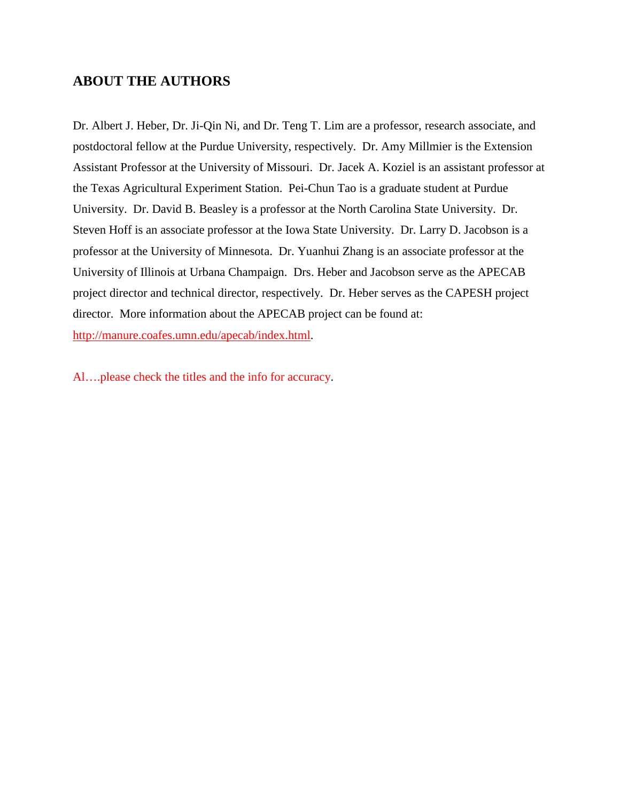### **ABOUT THE AUTHORS**

Dr. Albert J. Heber, Dr. Ji-Qin Ni, and Dr. Teng T. Lim are a professor, research associate, and postdoctoral fellow at the Purdue University, respectively. Dr. Amy Millmier is the Extension Assistant Professor at the University of Missouri. Dr. Jacek A. Koziel is an assistant professor at the Texas Agricultural Experiment Station. Pei-Chun Tao is a graduate student at Purdue University. Dr. David B. Beasley is a professor at the North Carolina State University. Dr. Steven Hoff is an associate professor at the Iowa State University. Dr. Larry D. Jacobson is a professor at the University of Minnesota. Dr. Yuanhui Zhang is an associate professor at the University of Illinois at Urbana Champaign. Drs. Heber and Jacobson serve as the APECAB project director and technical director, respectively. Dr. Heber serves as the CAPESH project director. More information about the APECAB project can be found at: [http://manure.coafes.umn.edu/apecab/index.html.](http://manure.coafes.umn.edu/apecab/index.html)

Al….please check the titles and the info for accuracy.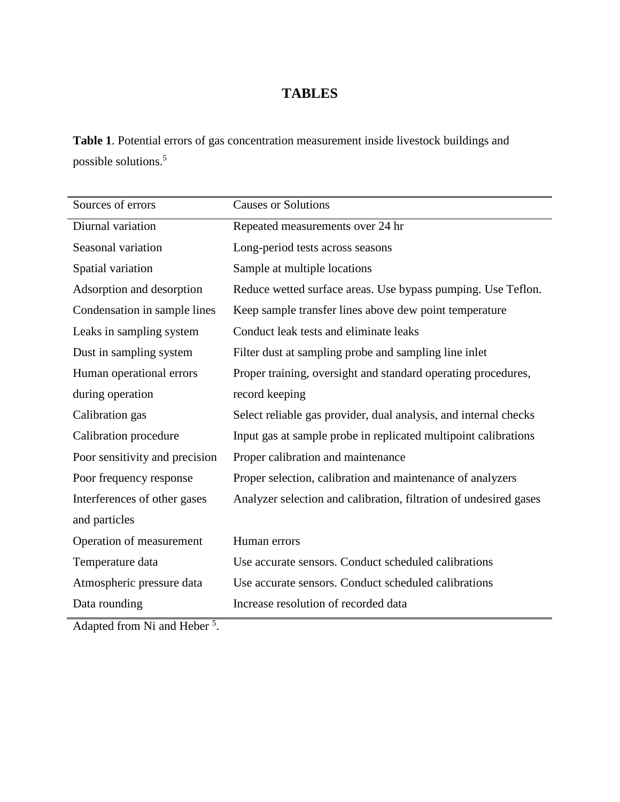## **TABLES**

**Table 1**. Potential errors of gas concentration measurement inside livestock buildings and possible solutions.5

| Sources of errors              | <b>Causes or Solutions</b>                                        |
|--------------------------------|-------------------------------------------------------------------|
| Diurnal variation              | Repeated measurements over 24 hr                                  |
| Seasonal variation             | Long-period tests across seasons                                  |
| Spatial variation              | Sample at multiple locations                                      |
| Adsorption and desorption      | Reduce wetted surface areas. Use bypass pumping. Use Teflon.      |
| Condensation in sample lines   | Keep sample transfer lines above dew point temperature            |
| Leaks in sampling system       | Conduct leak tests and eliminate leaks                            |
| Dust in sampling system        | Filter dust at sampling probe and sampling line inlet             |
| Human operational errors       | Proper training, oversight and standard operating procedures,     |
| during operation               | record keeping                                                    |
| Calibration gas                | Select reliable gas provider, dual analysis, and internal checks  |
| Calibration procedure          | Input gas at sample probe in replicated multipoint calibrations   |
| Poor sensitivity and precision | Proper calibration and maintenance                                |
| Poor frequency response        | Proper selection, calibration and maintenance of analyzers        |
| Interferences of other gases   | Analyzer selection and calibration, filtration of undesired gases |
| and particles                  |                                                                   |
| Operation of measurement       | Human errors                                                      |
| Temperature data               | Use accurate sensors. Conduct scheduled calibrations              |
| Atmospheric pressure data      | Use accurate sensors. Conduct scheduled calibrations              |
| Data rounding                  | Increase resolution of recorded data                              |

Adapted from Ni and Heber<sup>5</sup>.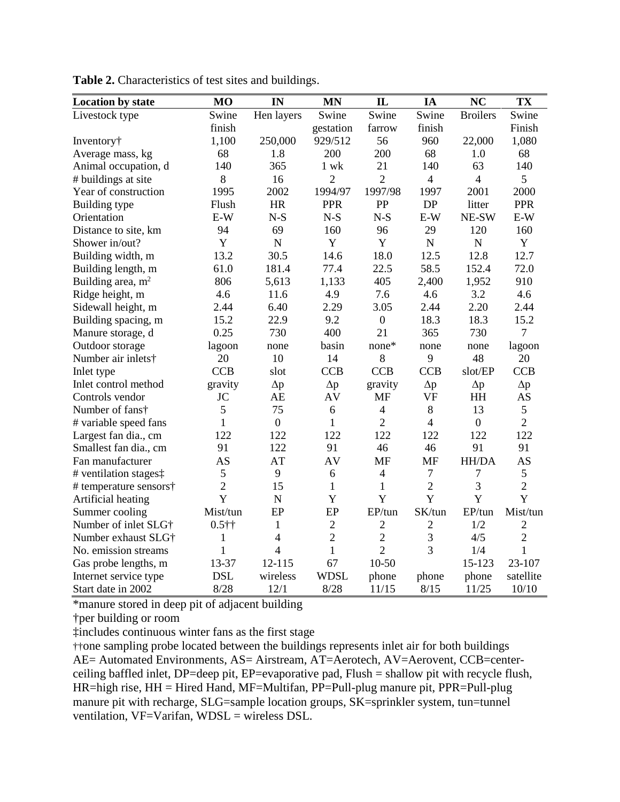| <b>Location by state</b> | M <sub>O</sub> | IN             | <b>MN</b>      | IL               | IA             | <b>NC</b>       | TX             |
|--------------------------|----------------|----------------|----------------|------------------|----------------|-----------------|----------------|
| Livestock type           | Swine          | Hen layers     | Swine          | Swine            | Swine          | <b>Broilers</b> | Swine          |
|                          | finish         |                | gestation      | farrow           | finish         |                 | Finish         |
| Inventory†               | 1,100          | 250,000        | 929/512        | 56               | 960            | 22,000          | 1,080          |
| Average mass, kg         | 68             | 1.8            | 200            | 200              | 68             | 1.0             | 68             |
| Animal occupation, d     | 140            | 365            | $1$ wk         | 21               | 140            | 63              | 140            |
| # buildings at site      | 8              | 16             | $\overline{2}$ | $\overline{2}$   | $\overline{4}$ | $\overline{4}$  | 5              |
| Year of construction     | 1995           | 2002           | 1994/97        | 1997/98          | 1997           | 2001            | 2000           |
| Building type            | Flush          | <b>HR</b>      | <b>PPR</b>     | PP               | DP             | litter          | <b>PPR</b>     |
| Orientation              | E-W            | $N-S$          | $N-S$          | $N-S$            | $E-W$          | NE-SW           | $E-W$          |
| Distance to site, km     | 94             | 69             | 160            | 96               | 29             | 120             | 160            |
| Shower in/out?           | Y              | $\mathbf N$    | Y              | Y                | $\mathbf N$    | $\mathbf N$     | Y              |
| Building width, m        | 13.2           | 30.5           | 14.6           | 18.0             | 12.5           | 12.8            | 12.7           |
| Building length, m       | 61.0           | 181.4          | 77.4           | 22.5             | 58.5           | 152.4           | 72.0           |
| Building area, $m2$      | 806            | 5,613          | 1,133          | 405              | 2,400          | 1,952           | 910            |
| Ridge height, m          | 4.6            | 11.6           | 4.9            | 7.6              | 4.6            | 3.2             | 4.6            |
| Sidewall height, m       | 2.44           | 6.40           | 2.29           | 3.05             | 2.44           | 2.20            | 2.44           |
| Building spacing, m      | 15.2           | 22.9           | 9.2            | $\boldsymbol{0}$ | 18.3           | 18.3            | 15.2           |
| Manure storage, d        | 0.25           | 730            | 400            | 21               | 365            | 730             | $\overline{7}$ |
| Outdoor storage          | lagoon         | none           | basin          | none*            | none           | none            | lagoon         |
| Number air inlets†       | 20             | 10             | 14             | 8                | 9              | 48              | 20             |
| Inlet type               | <b>CCB</b>     | slot           | <b>CCB</b>     | <b>CCB</b>       | <b>CCB</b>     | slot/EP         | <b>CCB</b>     |
| Inlet control method     | gravity        | $\Delta p$     | $\Delta p$     | gravity          | $\Delta p$     | $\Delta p$      | $\Delta p$     |
| Controls vendor          | JC             | AE             | AV             | <b>MF</b>        | <b>VF</b>      | <b>HH</b>       | <b>AS</b>      |
| Number of fans†          | 5              | 75             | 6              | $\overline{4}$   | 8              | 13              | 5              |
| # variable speed fans    | $\mathbf{1}$   | $\overline{0}$ | $\mathbf{1}$   | $\overline{2}$   | $\overline{4}$ | $\overline{0}$  | $\overline{2}$ |
| Largest fan dia., cm     | 122            | 122            | 122            | 122              | 122            | 122             | 122            |
| Smallest fan dia., cm    | 91             | 122            | 91             | 46               | 46             | 91              | 91             |
| Fan manufacturer         | AS             | AT             | AV             | <b>MF</b>        | <b>MF</b>      | HH/DA           | <b>AS</b>      |
| # ventilation stages‡    | 5              | 9              | 6              | $\overline{4}$   | $\overline{7}$ | $\tau$          | 5              |
| # temperature sensors†   | $\overline{2}$ | 15             | 1              | $\mathbf{1}$     | $\overline{2}$ | 3               | $\overline{2}$ |
| Artificial heating       | Y              | N              | Y              | Y                | Y              | Y               | Y              |
| Summer cooling           | Mist/tun       | EP             | EP             | EP/tun           | SK/tun         | EP/tun          | Mist/tun       |
| Number of inlet SLG†     | $0.5$ ††       | $\mathbf{1}$   | $\sqrt{2}$     | $\overline{c}$   | $\overline{c}$ | 1/2             | $\overline{2}$ |
| Number exhaust SLG†      | 1              | $\overline{4}$ | $\overline{2}$ | $\overline{2}$   | 3              | 4/5             | $\overline{2}$ |
| No. emission streams     | $\mathbf{1}$   | $\overline{4}$ | $\mathbf{1}$   | $\overline{2}$   | $\overline{3}$ | 1/4             | $\mathbf{1}$   |
| Gas probe lengths, m     | 13-37          | 12-115         | 67             | $10 - 50$        |                | 15-123          | 23-107         |
| Internet service type    | <b>DSL</b>     | wireless       | <b>WDSL</b>    | phone            | phone          | phone           | satellite      |
| Start date in 2002       | 8/28           | 12/1           | 8/28           | 11/15            | 8/15           | 11/25           | 10/10          |

Table 2. Characteristics of test sites and buildings.

\*manure stored in deep pit of adjacent building

†per building or room

‡includes continuous winter fans as the first stage

††one sampling probe located between the buildings represents inlet air for both buildings AE= Automated Environments, AS= Airstream, AT=Aerotech, AV=Aerovent, CCB=centerceiling baffled inlet, DP=deep pit, EP=evaporative pad, Flush = shallow pit with recycle flush, HR=high rise, HH = Hired Hand, MF=Multifan, PP=Pull-plug manure pit, PPR=Pull-plug manure pit with recharge, SLG=sample location groups, SK=sprinkler system, tun=tunnel ventilation, VF=Varifan, WDSL = wireless DSL.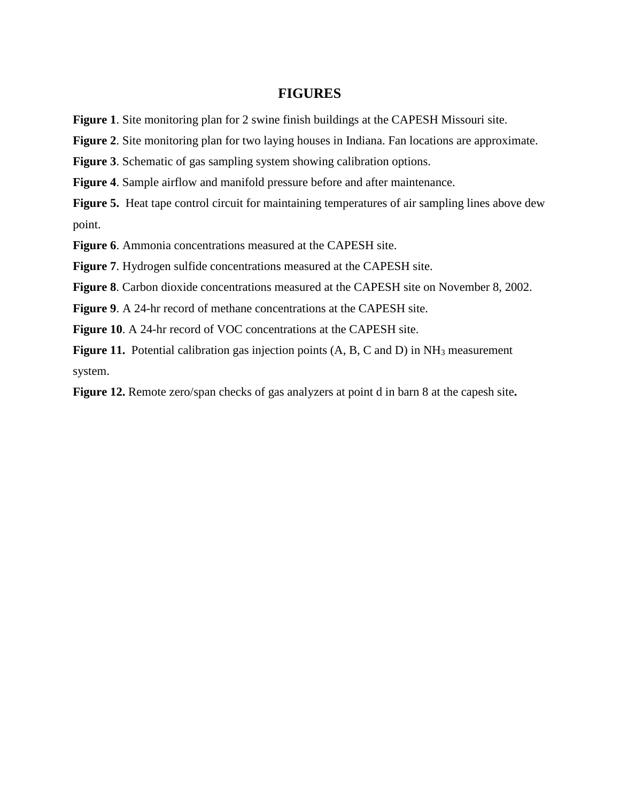#### **FIGURES**

**Figure 1**. Site monitoring plan for 2 swine finish buildings at the CAPESH Missouri site.

**Figure 2**. Site monitoring plan for two laying houses in Indiana. Fan locations are approximate.

**Figure 3**. Schematic of gas sampling system showing calibration options.

**Figure 4**. Sample airflow and manifold pressure before and after maintenance.

**Figure 5.** Heat tape control circuit for maintaining temperatures of air sampling lines above dew point.

**Figure 6**. Ammonia concentrations measured at the CAPESH site.

**Figure 7**. Hydrogen sulfide concentrations measured at the CAPESH site.

**Figure 8**. Carbon dioxide concentrations measured at the CAPESH site on November 8, 2002.

**Figure 9**. A 24-hr record of methane concentrations at the CAPESH site.

**Figure 10**. A 24-hr record of VOC concentrations at the CAPESH site.

**Figure 11.** Potential calibration gas injection points (A, B, C and D) in NH<sub>3</sub> measurement system.

**Figure 12.** Remote zero/span checks of gas analyzers at point d in barn 8 at the capesh site**.**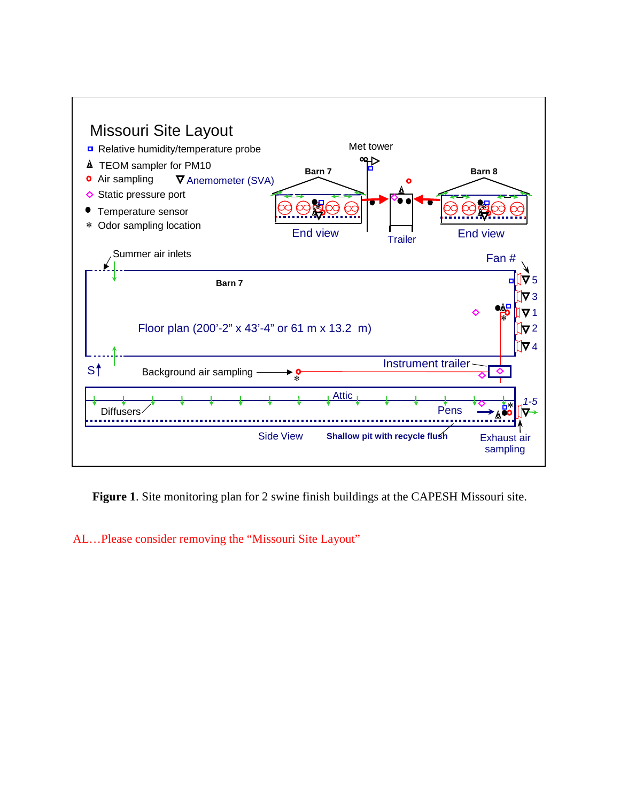

**Figure 1**. Site monitoring plan for 2 swine finish buildings at the CAPESH Missouri site.

AL…Please consider removing the "Missouri Site Layout"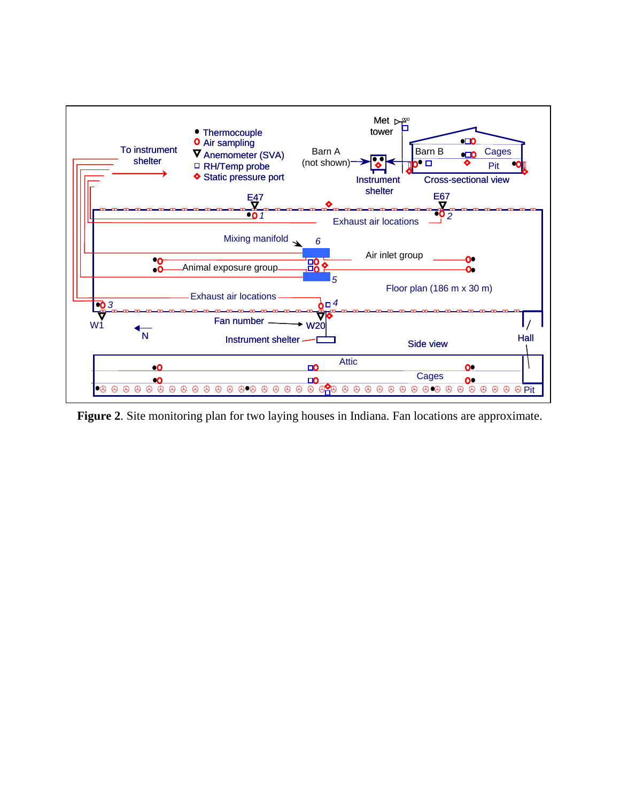

**Figure 2**. Site monitoring plan for two laying houses in Indiana. Fan locations are approximate.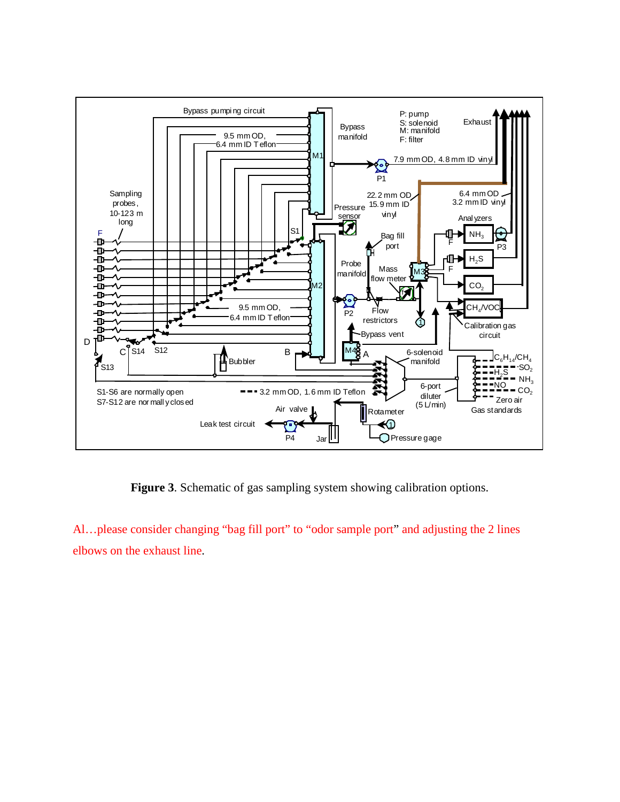

**Figure 3**. Schematic of gas sampling system showing calibration options.

Al…please consider changing "bag fill port" to "odor sample port" and adjusting the 2 lines elbows on the exhaust line.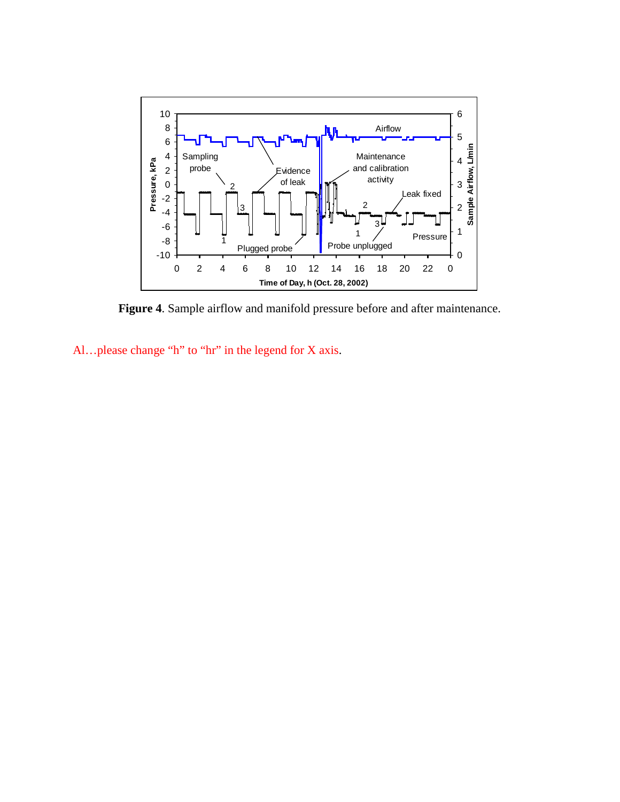

**Figure 4**. Sample airflow and manifold pressure before and after maintenance.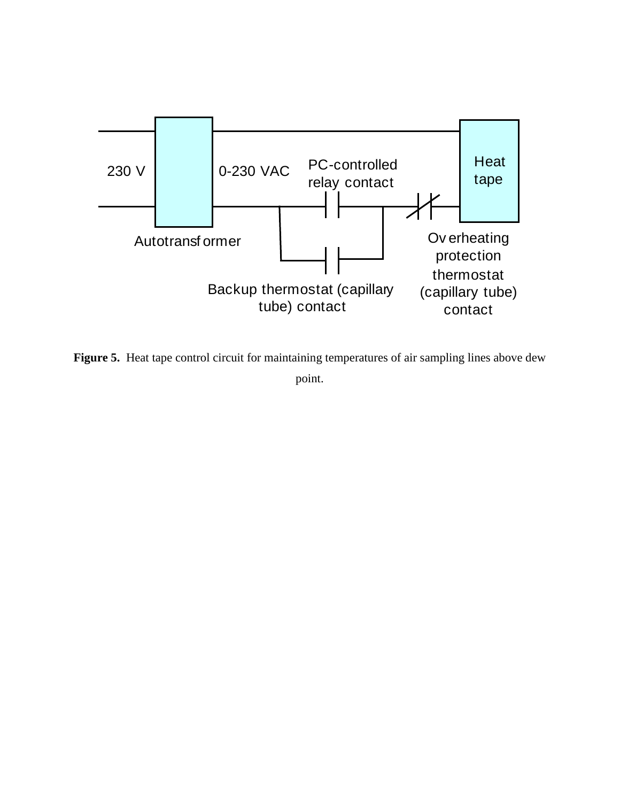

Figure 5. Heat tape control circuit for maintaining temperatures of air sampling lines above dew point.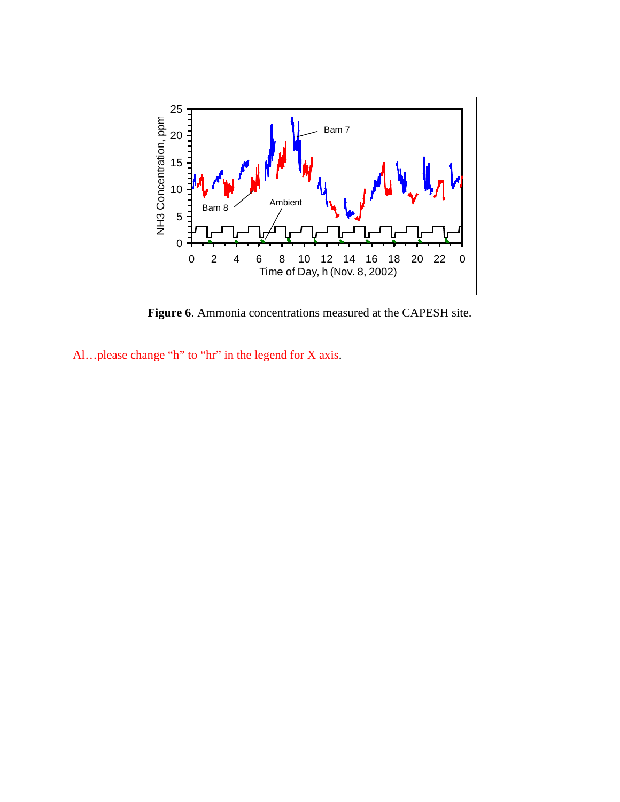

**Figure 6**. Ammonia concentrations measured at the CAPESH site.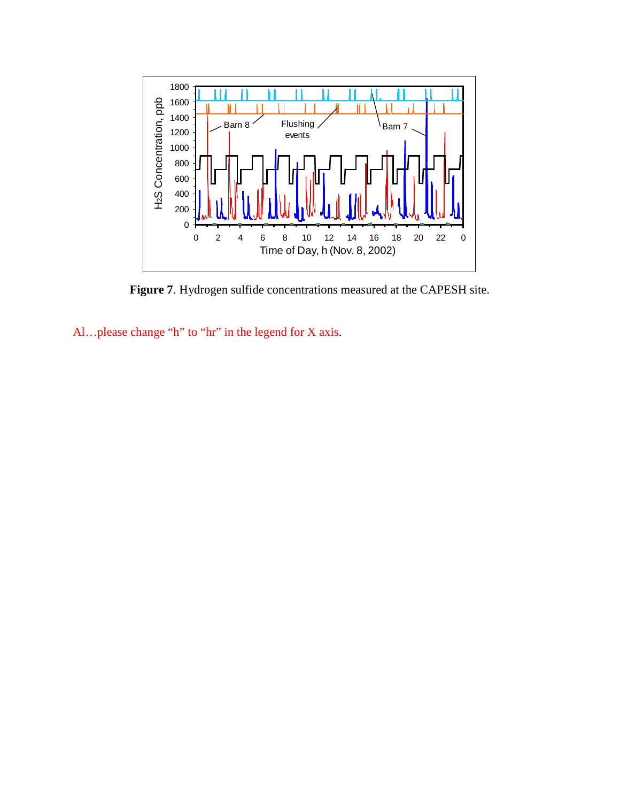

**Figure 7**. Hydrogen sulfide concentrations measured at the CAPESH site.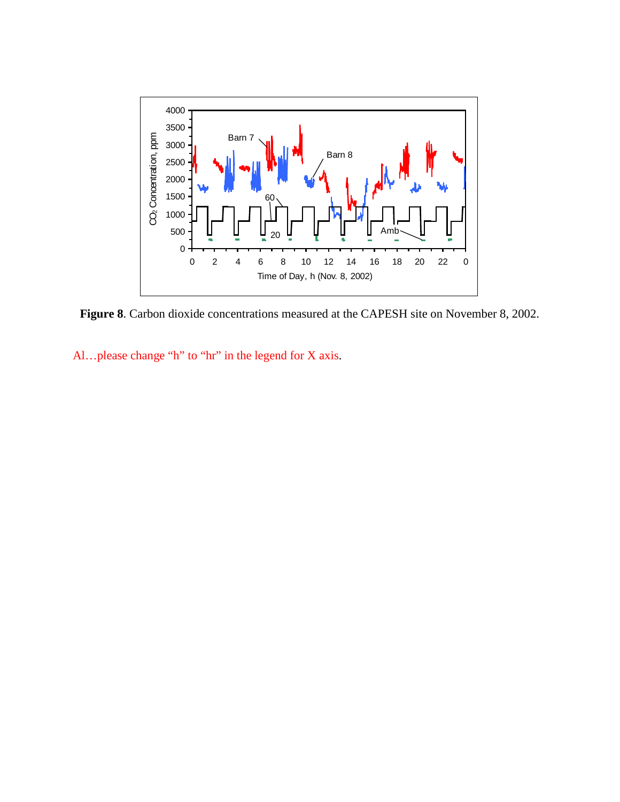

**Figure 8**. Carbon dioxide concentrations measured at the CAPESH site on November 8, 2002.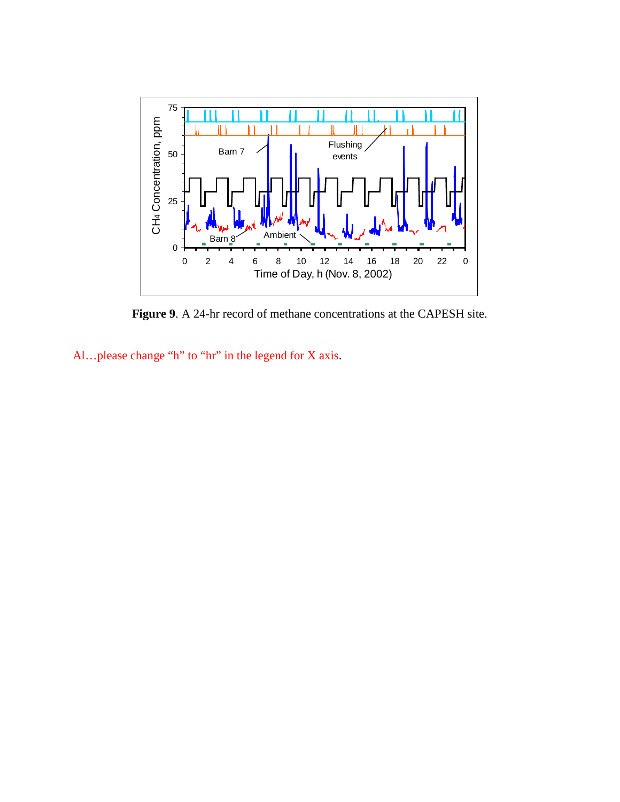

**Figure 9**. A 24-hr record of methane concentrations at the CAPESH site.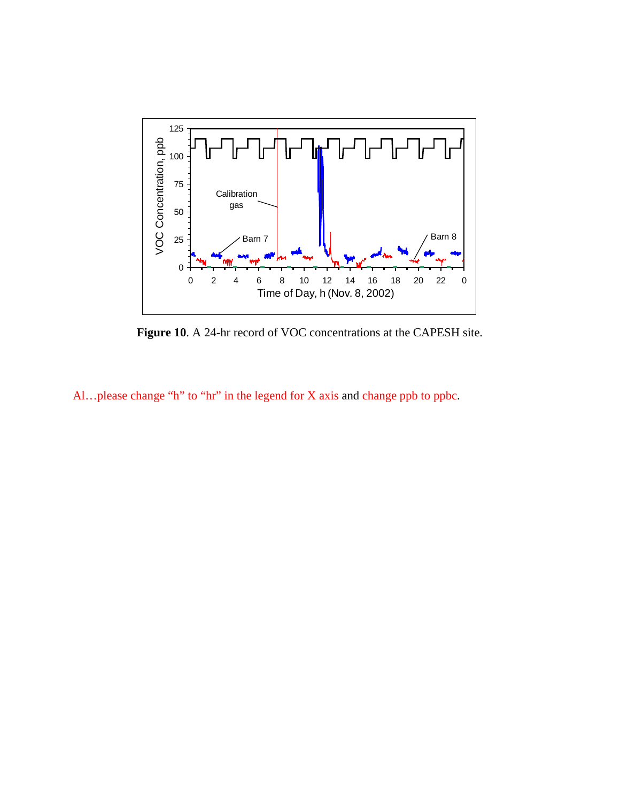

**Figure 10**. A 24-hr record of VOC concentrations at the CAPESH site.

Al…please change "h" to "hr" in the legend for X axis and change ppb to ppbc.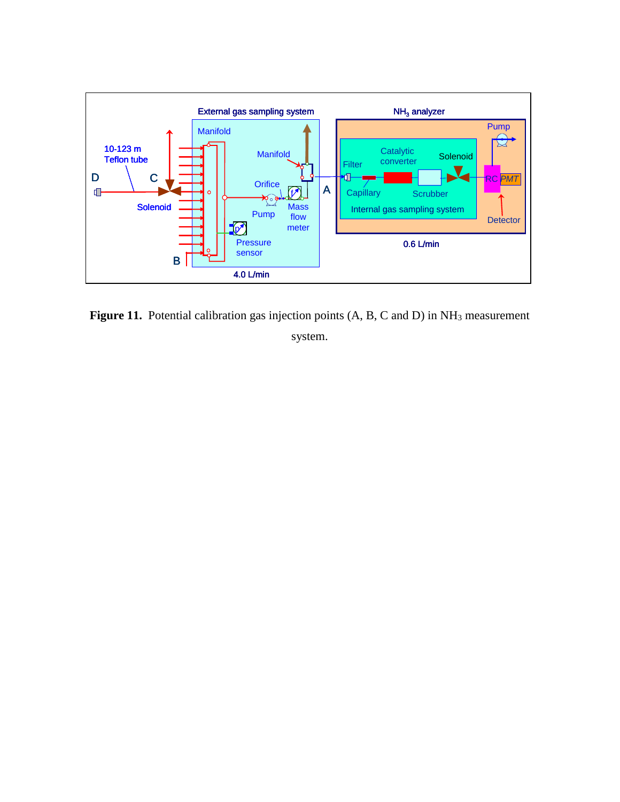

Figure 11. Potential calibration gas injection points (A, B, C and D) in NH<sub>3</sub> measurement system.